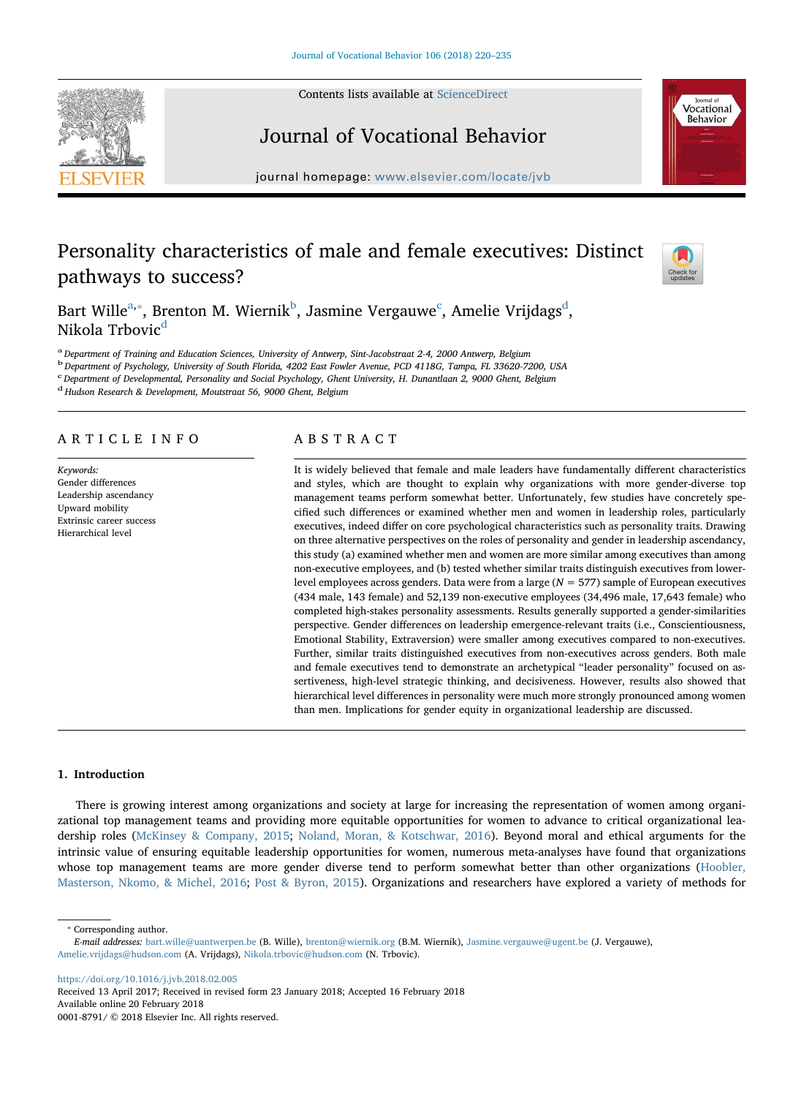Contents lists available at [ScienceDirect](http://www.sciencedirect.com/science/journal/00018791)



# Journal of Vocational Behavior

journal homepage: [www.elsevier.com/locate/jvb](https://www.elsevier.com/locate/jvb)

# Personality characteristics of male and female executives: Distinct pathways to success?



Vocational **Behavior** 

B[a](#page-0-0)rt Wille $^{\mathrm{a},*}$ , Brenton M. Wiernik $^{\mathrm{b}}$  $^{\mathrm{b}}$  $^{\mathrm{b}}$ , Jasmine Vergauwe $^{\mathrm{c}}$  $^{\mathrm{c}}$  $^{\mathrm{c}}$ , Amelie Vrij[d](#page-0-4)ags $^{\mathrm{d}}$ , Nikola Trbovic<sup>[d](#page-0-4)</sup>

<span id="page-0-0"></span>a Department of Training and Education Sciences, University of Antwerp, Sint-Jacobstraat 2-4, 2000 Antwerp, Belgium

<span id="page-0-2"></span><sup>b</sup> Department of Psychology, University of South Florida, 4202 East Fowler Avenue, PCD 4118G, Tampa, FL 33620-7200, USA

<span id="page-0-3"></span><sup>c</sup> Department of Developmental, Personality and Social Psychology, Ghent University, H. Dunantlaan 2, 9000 Ghent, Belgium

<span id="page-0-4"></span><sup>d</sup> Hudson Research & Development, Moutstraat 56, 9000 Ghent, Belgium

## ARTICLE INFO

Keywords: Gender differences Leadership ascendancy Upward mobility Extrinsic career success Hierarchical level

## ABSTRACT

It is widely believed that female and male leaders have fundamentally different characteristics and styles, which are thought to explain why organizations with more gender-diverse top management teams perform somewhat better. Unfortunately, few studies have concretely specified such differences or examined whether men and women in leadership roles, particularly executives, indeed differ on core psychological characteristics such as personality traits. Drawing on three alternative perspectives on the roles of personality and gender in leadership ascendancy, this study (a) examined whether men and women are more similar among executives than among non-executive employees, and (b) tested whether similar traits distinguish executives from lowerlevel employees across genders. Data were from a large  $(N = 577)$  sample of European executives (434 male, 143 female) and 52,139 non-executive employees (34,496 male, 17,643 female) who completed high-stakes personality assessments. Results generally supported a gender-similarities perspective. Gender differences on leadership emergence-relevant traits (i.e., Conscientiousness, Emotional Stability, Extraversion) were smaller among executives compared to non-executives. Further, similar traits distinguished executives from non-executives across genders. Both male and female executives tend to demonstrate an archetypical "leader personality" focused on assertiveness, high-level strategic thinking, and decisiveness. However, results also showed that hierarchical level differences in personality were much more strongly pronounced among women than men. Implications for gender equity in organizational leadership are discussed.

## 1. Introduction

There is growing interest among organizations and society at large for increasing the representation of women among organizational top management teams and providing more equitable opportunities for women to advance to critical organizational leadership roles [\(McKinsey & Company, 2015](#page-14-0); [Noland, Moran, & Kotschwar, 2016\)](#page-14-1). Beyond moral and ethical arguments for the intrinsic value of ensuring equitable leadership opportunities for women, numerous meta-analyses have found that organizations whose top management teams are more gender diverse tend to perform somewhat better than other organizations ([Hoobler,](#page-13-0) [Masterson, Nkomo, & Michel, 2016](#page-13-0); [Post & Byron, 2015\)](#page-14-2). Organizations and researchers have explored a variety of methods for

<span id="page-0-1"></span>⁎ Corresponding author.

<https://doi.org/10.1016/j.jvb.2018.02.005>

Received 13 April 2017; Received in revised form 23 January 2018; Accepted 16 February 2018 Available online 20 February 2018 0001-8791/ © 2018 Elsevier Inc. All rights reserved.

E-mail addresses: [bart.wille@uantwerpen.be](mailto:bart.wille@uantwerpen.be) (B. Wille), [brenton@wiernik.org](mailto:brenton@wiernik.org) (B.M. Wiernik), [Jasmine.vergauwe@ugent.be](mailto:Jasmine.vergauwe@ugent.be) (J. Vergauwe), [Amelie.vrijdags@hudson.com](mailto:Amelie.vrijdags@hudson.com) (A. Vrijdags), [Nikola.trbovic@hudson.com](mailto:Nikola.trbovic@hudson.com) (N. Trbovic).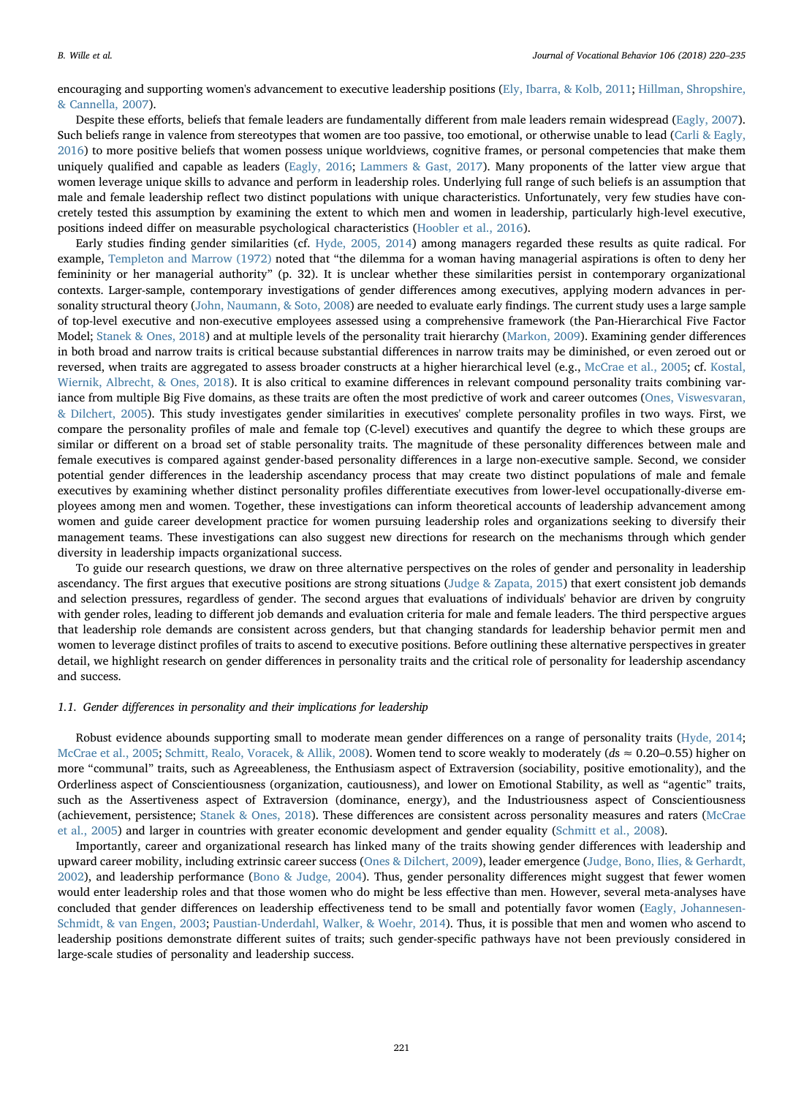encouraging and supporting women's advancement to executive leadership positions ([Ely, Ibarra, & Kolb, 2011](#page-13-1); [Hillman, Shropshire,](#page-13-2) [& Cannella, 2007\)](#page-13-2).

Despite these efforts, beliefs that female leaders are fundamentally different from male leaders remain widespread [\(Eagly, 2007](#page-13-3)). Such beliefs range in valence from stereotypes that women are too passive, too emotional, or otherwise unable to lead ([Carli & Eagly,](#page-13-4) [2016\)](#page-13-4) to more positive beliefs that women possess unique worldviews, cognitive frames, or personal competencies that make them uniquely qualified and capable as leaders ([Eagly, 2016;](#page-13-5) [Lammers & Gast, 2017](#page-14-3)). Many proponents of the latter view argue that women leverage unique skills to advance and perform in leadership roles. Underlying full range of such beliefs is an assumption that male and female leadership reflect two distinct populations with unique characteristics. Unfortunately, very few studies have concretely tested this assumption by examining the extent to which men and women in leadership, particularly high-level executive, positions indeed differ on measurable psychological characteristics ([Hoobler et al., 2016](#page-13-0)).

Early studies finding gender similarities (cf. [Hyde, 2005, 2014](#page-14-4)) among managers regarded these results as quite radical. For example, [Templeton and Marrow \(1972\)](#page-15-0) noted that "the dilemma for a woman having managerial aspirations is often to deny her femininity or her managerial authority" (p. 32). It is unclear whether these similarities persist in contemporary organizational contexts. Larger-sample, contemporary investigations of gender differences among executives, applying modern advances in personality structural theory [\(John, Naumann, & Soto, 2008](#page-14-5)) are needed to evaluate early findings. The current study uses a large sample of top-level executive and non-executive employees assessed using a comprehensive framework (the Pan-Hierarchical Five Factor Model; [Stanek & Ones, 2018](#page-15-1)) and at multiple levels of the personality trait hierarchy [\(Markon, 2009](#page-14-6)). Examining gender differences in both broad and narrow traits is critical because substantial differences in narrow traits may be diminished, or even zeroed out or reversed, when traits are aggregated to assess broader constructs at a higher hierarchical level (e.g., [McCrae et al., 2005;](#page-14-7) cf. [Kostal,](#page-14-8) [Wiernik, Albrecht, & Ones, 2018\)](#page-14-8). It is also critical to examine differences in relevant compound personality traits combining var-iance from multiple Big Five domains, as these traits are often the most predictive of work and career outcomes ([Ones, Viswesvaran,](#page-14-9) [& Dilchert, 2005\)](#page-14-9). This study investigates gender similarities in executives' complete personality profiles in two ways. First, we compare the personality profiles of male and female top (C-level) executives and quantify the degree to which these groups are similar or different on a broad set of stable personality traits. The magnitude of these personality differences between male and female executives is compared against gender-based personality differences in a large non-executive sample. Second, we consider potential gender differences in the leadership ascendancy process that may create two distinct populations of male and female executives by examining whether distinct personality profiles differentiate executives from lower-level occupationally-diverse employees among men and women. Together, these investigations can inform theoretical accounts of leadership advancement among women and guide career development practice for women pursuing leadership roles and organizations seeking to diversify their management teams. These investigations can also suggest new directions for research on the mechanisms through which gender diversity in leadership impacts organizational success.

To guide our research questions, we draw on three alternative perspectives on the roles of gender and personality in leadership ascendancy. The first argues that executive positions are strong situations ([Judge & Zapata, 2015](#page-14-10)) that exert consistent job demands and selection pressures, regardless of gender. The second argues that evaluations of individuals' behavior are driven by congruity with gender roles, leading to different job demands and evaluation criteria for male and female leaders. The third perspective argues that leadership role demands are consistent across genders, but that changing standards for leadership behavior permit men and women to leverage distinct profiles of traits to ascend to executive positions. Before outlining these alternative perspectives in greater detail, we highlight research on gender differences in personality traits and the critical role of personality for leadership ascendancy and success.

#### 1.1. Gender differences in personality and their implications for leadership

Robust evidence abounds supporting small to moderate mean gender differences on a range of personality traits [\(Hyde, 2014;](#page-14-11) [McCrae et al., 2005;](#page-14-7) [Schmitt, Realo, Voracek, & Allik, 2008](#page-15-2)). Women tend to score weakly to moderately (ds ≈ 0.20–0.55) higher on more "communal" traits, such as Agreeableness, the Enthusiasm aspect of Extraversion (sociability, positive emotionality), and the Orderliness aspect of Conscientiousness (organization, cautiousness), and lower on Emotional Stability, as well as "agentic" traits, such as the Assertiveness aspect of Extraversion (dominance, energy), and the Industriousness aspect of Conscientiousness (achievement, persistence; [Stanek & Ones, 2018\)](#page-15-1). These differences are consistent across personality measures and raters [\(McCrae](#page-14-7) [et al., 2005\)](#page-14-7) and larger in countries with greater economic development and gender equality ([Schmitt et al., 2008](#page-15-2)).

Importantly, career and organizational research has linked many of the traits showing gender differences with leadership and upward career mobility, including extrinsic career success ([Ones & Dilchert, 2009](#page-14-12)), leader emergence ([Judge, Bono, Ilies, & Gerhardt,](#page-14-13) [2002\)](#page-14-13), and leadership performance [\(Bono & Judge, 2004](#page-13-6)). Thus, gender personality differences might suggest that fewer women would enter leadership roles and that those women who do might be less effective than men. However, several meta-analyses have concluded that gender differences on leadership effectiveness tend to be small and potentially favor women [\(Eagly, Johannesen-](#page-13-7)[Schmidt, & van Engen, 2003;](#page-13-7) [Paustian-Underdahl, Walker, & Woehr, 2014](#page-14-14)). Thus, it is possible that men and women who ascend to leadership positions demonstrate different suites of traits; such gender-specific pathways have not been previously considered in large-scale studies of personality and leadership success.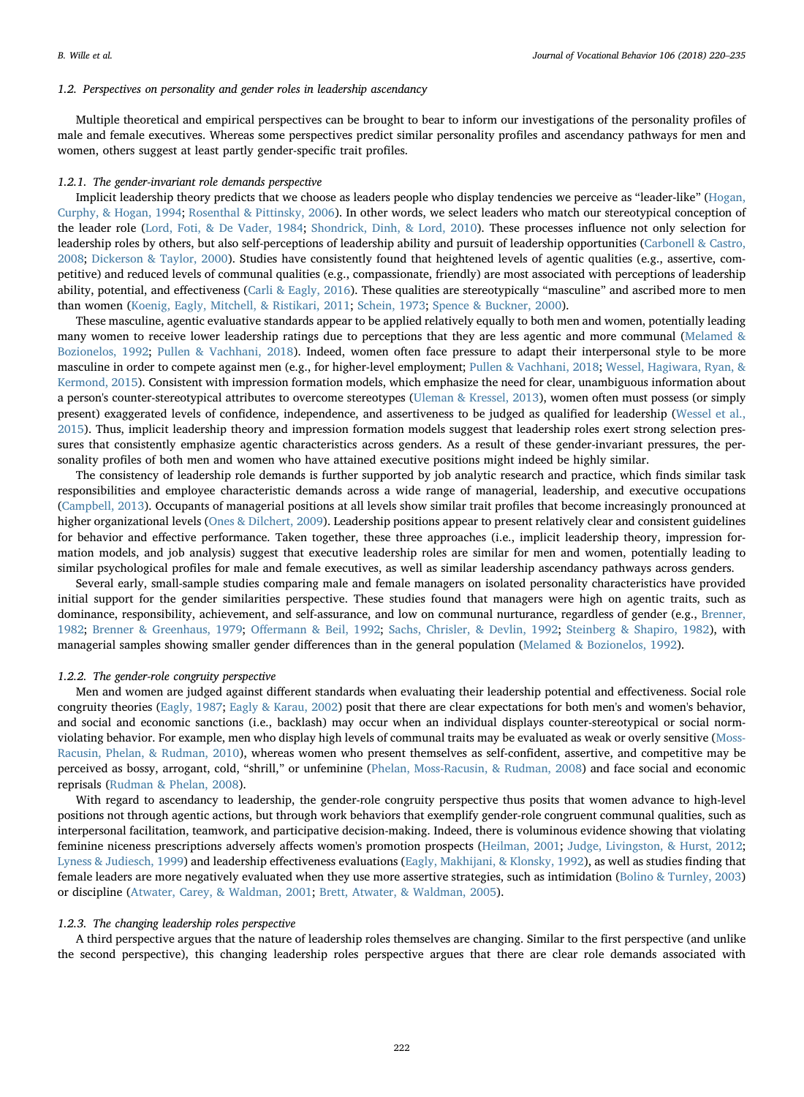## 1.2. Perspectives on personality and gender roles in leadership ascendancy

Multiple theoretical and empirical perspectives can be brought to bear to inform our investigations of the personality profiles of male and female executives. Whereas some perspectives predict similar personality profiles and ascendancy pathways for men and women, others suggest at least partly gender-specific trait profiles.

#### 1.2.1. The gender-invariant role demands perspective

Implicit leadership theory predicts that we choose as leaders people who display tendencies we perceive as "leader-like" [\(Hogan,](#page-13-8) [Curphy, & Hogan, 1994](#page-13-8); [Rosenthal & Pittinsky, 2006\)](#page-15-3). In other words, we select leaders who match our stereotypical conception of the leader role ([Lord, Foti, & De Vader, 1984;](#page-14-15) [Shondrick, Dinh, & Lord, 2010](#page-15-4)). These processes influence not only selection for leadership roles by others, but also self-perceptions of leadership ability and pursuit of leadership opportunities ([Carbonell & Castro,](#page-13-9) [2008;](#page-13-9) [Dickerson & Taylor, 2000](#page-13-10)). Studies have consistently found that heightened levels of agentic qualities (e.g., assertive, competitive) and reduced levels of communal qualities (e.g., compassionate, friendly) are most associated with perceptions of leadership ability, potential, and effectiveness ([Carli & Eagly, 2016](#page-13-4)). These qualities are stereotypically "masculine" and ascribed more to men than women ([Koenig, Eagly, Mitchell, & Ristikari, 2011](#page-14-16); [Schein, 1973](#page-15-5); [Spence & Buckner, 2000](#page-15-6)).

These masculine, agentic evaluative standards appear to be applied relatively equally to both men and women, potentially leading many women to receive lower leadership ratings due to perceptions that they are less agentic and more communal [\(Melamed &](#page-14-17) [Bozionelos, 1992;](#page-14-17) [Pullen & Vachhani, 2018\)](#page-14-18). Indeed, women often face pressure to adapt their interpersonal style to be more masculine in order to compete against men (e.g., for higher-level employment; [Pullen & Vachhani, 2018;](#page-14-18) [Wessel, Hagiwara, Ryan, &](#page-15-7) [Kermond, 2015](#page-15-7)). Consistent with impression formation models, which emphasize the need for clear, unambiguous information about a person's counter-stereotypical attributes to overcome stereotypes [\(Uleman & Kressel, 2013](#page-15-8)), women often must possess (or simply present) exaggerated levels of confidence, independence, and assertiveness to be judged as qualified for leadership ([Wessel et al.,](#page-15-7) [2015\)](#page-15-7). Thus, implicit leadership theory and impression formation models suggest that leadership roles exert strong selection pressures that consistently emphasize agentic characteristics across genders. As a result of these gender-invariant pressures, the personality profiles of both men and women who have attained executive positions might indeed be highly similar.

The consistency of leadership role demands is further supported by job analytic research and practice, which finds similar task responsibilities and employee characteristic demands across a wide range of managerial, leadership, and executive occupations ([Campbell, 2013\)](#page-13-11). Occupants of managerial positions at all levels show similar trait profiles that become increasingly pronounced at higher organizational levels [\(Ones & Dilchert, 2009\)](#page-14-12). Leadership positions appear to present relatively clear and consistent guidelines for behavior and effective performance. Taken together, these three approaches (i.e., implicit leadership theory, impression formation models, and job analysis) suggest that executive leadership roles are similar for men and women, potentially leading to similar psychological profiles for male and female executives, as well as similar leadership ascendancy pathways across genders.

Several early, small-sample studies comparing male and female managers on isolated personality characteristics have provided initial support for the gender similarities perspective. These studies found that managers were high on agentic traits, such as dominance, responsibility, achievement, and self-assurance, and low on communal nurturance, regardless of gender (e.g., [Brenner,](#page-13-12) [1982;](#page-13-12) [Brenner & Greenhaus, 1979](#page-13-13); Off[ermann & Beil, 1992;](#page-14-19) [Sachs, Chrisler, & Devlin, 1992](#page-15-9); [Steinberg & Shapiro, 1982\)](#page-15-10), with managerial samples showing smaller gender differences than in the general population [\(Melamed & Bozionelos, 1992\)](#page-14-17).

#### 1.2.2. The gender-role congruity perspective

Men and women are judged against different standards when evaluating their leadership potential and effectiveness. Social role congruity theories ([Eagly, 1987;](#page-13-14) [Eagly & Karau, 2002\)](#page-13-15) posit that there are clear expectations for both men's and women's behavior, and social and economic sanctions (i.e., backlash) may occur when an individual displays counter-stereotypical or social normviolating behavior. For example, men who display high levels of communal traits may be evaluated as weak or overly sensitive ([Moss-](#page-14-20)[Racusin, Phelan, & Rudman, 2010](#page-14-20)), whereas women who present themselves as self-confident, assertive, and competitive may be perceived as bossy, arrogant, cold, "shrill," or unfeminine ([Phelan, Moss-Racusin, & Rudman, 2008](#page-14-21)) and face social and economic reprisals [\(Rudman & Phelan, 2008\)](#page-15-11).

With regard to ascendancy to leadership, the gender-role congruity perspective thus posits that women advance to high-level positions not through agentic actions, but through work behaviors that exemplify gender-role congruent communal qualities, such as interpersonal facilitation, teamwork, and participative decision-making. Indeed, there is voluminous evidence showing that violating feminine niceness prescriptions adversely affects women's promotion prospects ([Heilman, 2001;](#page-13-16) [Judge, Livingston, & Hurst, 2012;](#page-14-22) [Lyness & Judiesch, 1999](#page-14-23)) and leadership effectiveness evaluations ([Eagly, Makhijani, & Klonsky, 1992\)](#page-13-17), as well as studies finding that female leaders are more negatively evaluated when they use more assertive strategies, such as intimidation ([Bolino & Turnley, 2003](#page-13-18)) or discipline ([Atwater, Carey, & Waldman, 2001;](#page-13-19) [Brett, Atwater, & Waldman, 2005](#page-13-20)).

#### 1.2.3. The changing leadership roles perspective

A third perspective argues that the nature of leadership roles themselves are changing. Similar to the first perspective (and unlike the second perspective), this changing leadership roles perspective argues that there are clear role demands associated with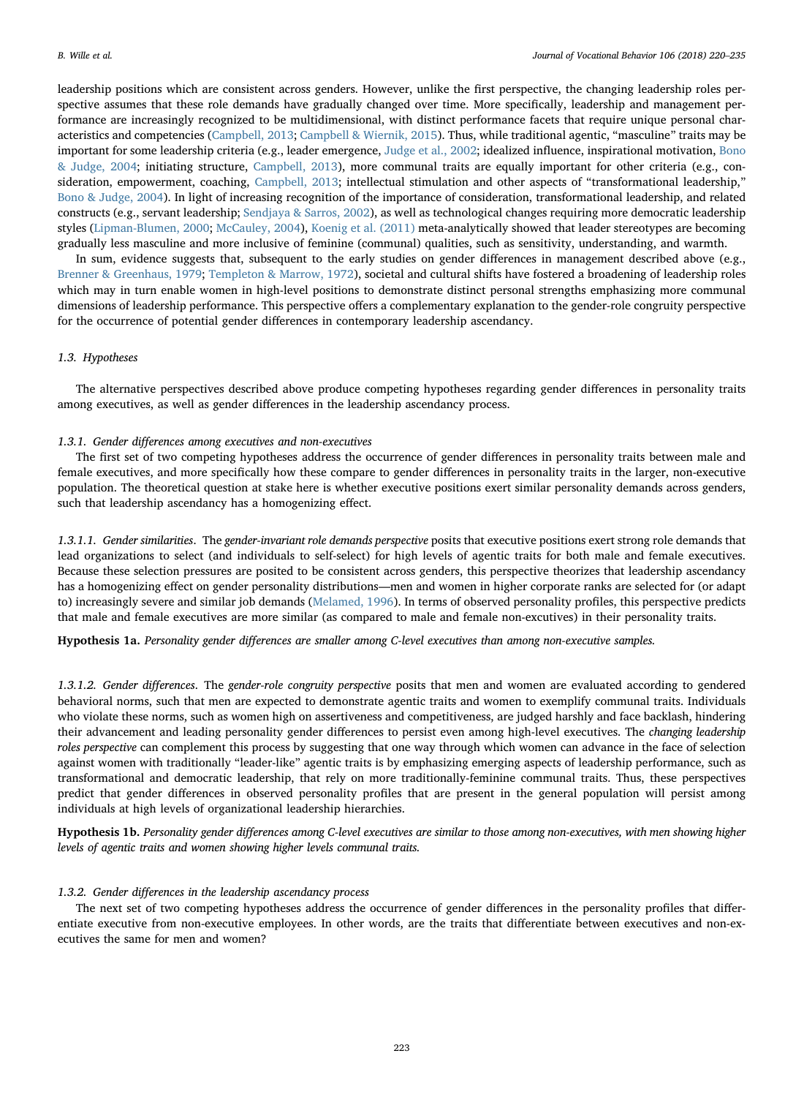leadership positions which are consistent across genders. However, unlike the first perspective, the changing leadership roles perspective assumes that these role demands have gradually changed over time. More specifically, leadership and management performance are increasingly recognized to be multidimensional, with distinct performance facets that require unique personal characteristics and competencies ([Campbell, 2013](#page-13-11); [Campbell & Wiernik, 2015](#page-13-21)). Thus, while traditional agentic, "masculine" traits may be important for some leadership criteria (e.g., leader emergence, [Judge et al., 2002](#page-14-13); idealized influence, inspirational motivation, [Bono](#page-13-6) [& Judge, 2004;](#page-13-6) initiating structure, [Campbell, 2013\)](#page-13-11), more communal traits are equally important for other criteria (e.g., consideration, empowerment, coaching, [Campbell, 2013](#page-13-11); intellectual stimulation and other aspects of "transformational leadership," [Bono & Judge, 2004\)](#page-13-6). In light of increasing recognition of the importance of consideration, transformational leadership, and related constructs (e.g., servant leadership; [Sendjaya & Sarros, 2002\)](#page-15-12), as well as technological changes requiring more democratic leadership styles ([Lipman-Blumen, 2000](#page-14-24); [McCauley, 2004\)](#page-14-25), [Koenig et al. \(2011\)](#page-14-16) meta-analytically showed that leader stereotypes are becoming gradually less masculine and more inclusive of feminine (communal) qualities, such as sensitivity, understanding, and warmth.

In sum, evidence suggests that, subsequent to the early studies on gender differences in management described above (e.g., [Brenner & Greenhaus, 1979;](#page-13-13) [Templeton & Marrow, 1972\)](#page-15-0), societal and cultural shifts have fostered a broadening of leadership roles which may in turn enable women in high-level positions to demonstrate distinct personal strengths emphasizing more communal dimensions of leadership performance. This perspective offers a complementary explanation to the gender-role congruity perspective for the occurrence of potential gender differences in contemporary leadership ascendancy.

## 1.3. Hypotheses

The alternative perspectives described above produce competing hypotheses regarding gender differences in personality traits among executives, as well as gender differences in the leadership ascendancy process.

#### 1.3.1. Gender differences among executives and non-executives

The first set of two competing hypotheses address the occurrence of gender differences in personality traits between male and female executives, and more specifically how these compare to gender differences in personality traits in the larger, non-executive population. The theoretical question at stake here is whether executive positions exert similar personality demands across genders, such that leadership ascendancy has a homogenizing effect.

1.3.1.1. Gender similarities. The gender-invariant role demands perspective posits that executive positions exert strong role demands that lead organizations to select (and individuals to self-select) for high levels of agentic traits for both male and female executives. Because these selection pressures are posited to be consistent across genders, this perspective theorizes that leadership ascendancy has a homogenizing effect on gender personality distributions—men and women in higher corporate ranks are selected for (or adapt to) increasingly severe and similar job demands ([Melamed, 1996\)](#page-14-26). In terms of observed personality profiles, this perspective predicts that male and female executives are more similar (as compared to male and female non-excutives) in their personality traits.

<span id="page-3-0"></span>Hypothesis 1a. Personality gender differences are smaller among C-level executives than among non-executive samples.

1.3.1.2. Gender differences. The gender-role congruity perspective posits that men and women are evaluated according to gendered behavioral norms, such that men are expected to demonstrate agentic traits and women to exemplify communal traits. Individuals who violate these norms, such as women high on assertiveness and competitiveness, are judged harshly and face backlash, hindering their advancement and leading personality gender differences to persist even among high-level executives. The changing leadership roles perspective can complement this process by suggesting that one way through which women can advance in the face of selection against women with traditionally "leader-like" agentic traits is by emphasizing emerging aspects of leadership performance, such as transformational and democratic leadership, that rely on more traditionally-feminine communal traits. Thus, these perspectives predict that gender differences in observed personality profiles that are present in the general population will persist among individuals at high levels of organizational leadership hierarchies.

<span id="page-3-1"></span>Hypothesis 1b. Personality gender differences among C-level executives are similar to those among non-executives, with men showing higher levels of agentic traits and women showing higher levels communal traits.

#### 1.3.2. Gender differences in the leadership ascendancy process

The next set of two competing hypotheses address the occurrence of gender differences in the personality profiles that differentiate executive from non-executive employees. In other words, are the traits that differentiate between executives and non-executives the same for men and women?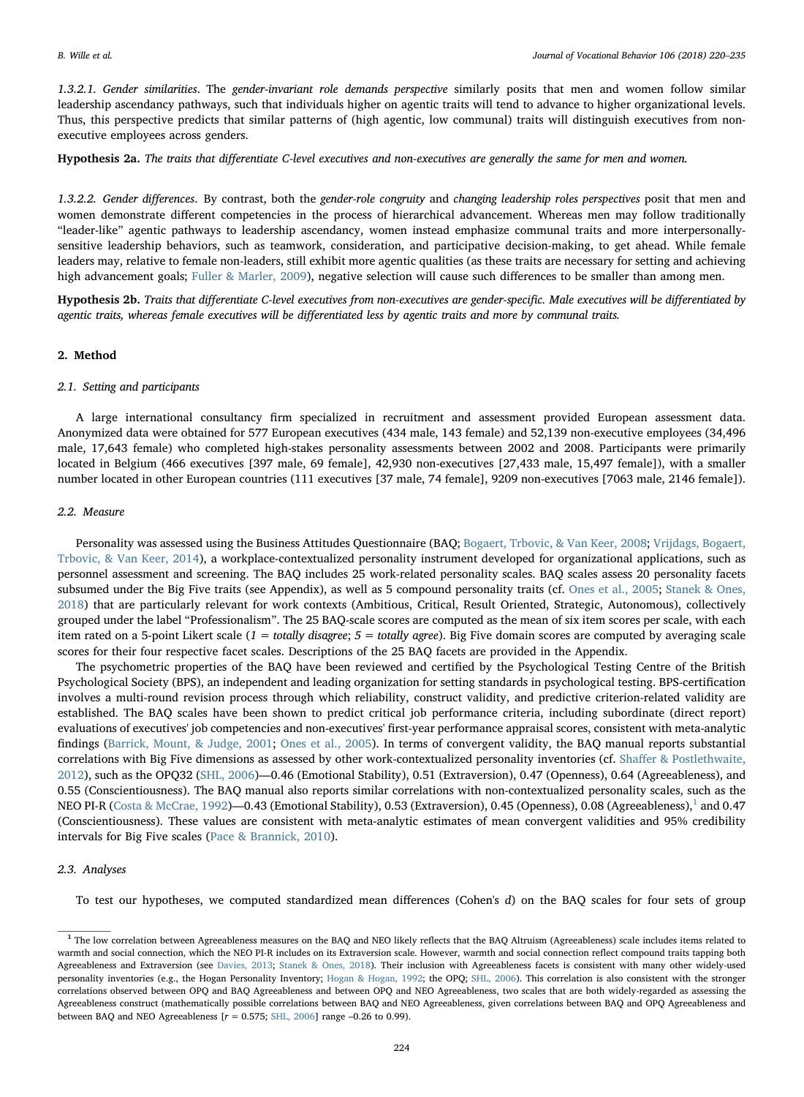1.3.2.1. Gender similarities. The gender-invariant role demands perspective similarly posits that men and women follow similar leadership ascendancy pathways, such that individuals higher on agentic traits will tend to advance to higher organizational levels. Thus, this perspective predicts that similar patterns of (high agentic, low communal) traits will distinguish executives from nonexecutive employees across genders.

<span id="page-4-1"></span>Hypothesis 2a. The traits that differentiate C-level executives and non-executives are generally the same for men and women.

1.3.2.2. Gender differences. By contrast, both the gender-role congruity and changing leadership roles perspectives posit that men and women demonstrate different competencies in the process of hierarchical advancement. Whereas men may follow traditionally "leader-like" agentic pathways to leadership ascendancy, women instead emphasize communal traits and more interpersonallysensitive leadership behaviors, such as teamwork, consideration, and participative decision-making, to get ahead. While female leaders may, relative to female non-leaders, still exhibit more agentic qualities (as these traits are necessary for setting and achieving high advancement goals; [Fuller & Marler, 2009\)](#page-13-22), negative selection will cause such differences to be smaller than among men.

<span id="page-4-2"></span>Hypothesis 2b. Traits that differentiate C-level executives from non-executives are gender-specific. Male executives will be differentiated by agentic traits, whereas female executives will be differentiated less by agentic traits and more by communal traits.

## 2. Method

#### 2.1. Setting and participants

A large international consultancy firm specialized in recruitment and assessment provided European assessment data. Anonymized data were obtained for 577 European executives (434 male, 143 female) and 52,139 non-executive employees (34,496 male, 17,643 female) who completed high-stakes personality assessments between 2002 and 2008. Participants were primarily located in Belgium (466 executives [397 male, 69 female], 42,930 non-executives [27,433 male, 15,497 female]), with a smaller number located in other European countries (111 executives [37 male, 74 female], 9209 non-executives [7063 male, 2146 female]).

### 2.2. Measure

Personality was assessed using the Business Attitudes Questionnaire (BAQ; [Bogaert, Trbovic, & Van Keer, 2008](#page-13-23); [Vrijdags, Bogaert,](#page-15-13) [Trbovic, & Van Keer, 2014\)](#page-15-13), a workplace-contextualized personality instrument developed for organizational applications, such as personnel assessment and screening. The BAQ includes 25 work-related personality scales. BAQ scales assess 20 personality facets subsumed under the Big Five traits (see Appendix), as well as 5 compound personality traits (cf. [Ones et al., 2005](#page-14-9); [Stanek & Ones,](#page-15-1) [2018\)](#page-15-1) that are particularly relevant for work contexts (Ambitious, Critical, Result Oriented, Strategic, Autonomous), collectively grouped under the label "Professionalism". The 25 BAQ-scale scores are computed as the mean of six item scores per scale, with each item rated on a 5-point Likert scale  $(1 = totally disagree; 5 = totally agree)$ . Big Five domain scores are computed by averaging scale scores for their four respective facet scales. Descriptions of the 25 BAQ facets are provided in the Appendix.

The psychometric properties of the BAQ have been reviewed and certified by the Psychological Testing Centre of the British Psychological Society (BPS), an independent and leading organization for setting standards in psychological testing. BPS-certification involves a multi-round revision process through which reliability, construct validity, and predictive criterion-related validity are established. The BAQ scales have been shown to predict critical job performance criteria, including subordinate (direct report) evaluations of executives' job competencies and non-executives' first-year performance appraisal scores, consistent with meta-analytic findings [\(Barrick, Mount, & Judge, 2001;](#page-13-24) [Ones et al., 2005\)](#page-14-9). In terms of convergent validity, the BAQ manual reports substantial correlations with Big Five dimensions as assessed by other work-contextualized personality inventories (cf. Shaffer [& Postlethwaite,](#page-15-14) [2012\)](#page-15-14), such as the OPQ32 ([SHL, 2006](#page-15-15))—0.46 (Emotional Stability), 0.51 (Extraversion), 0.47 (Openness), 0.64 (Agreeableness), and 0.55 (Conscientiousness). The BAQ manual also reports similar correlations with non-contextualized personality scales, such as the NEO PI-R ([Costa & McCrae, 1992](#page-13-25))—0.43 (Emotional Stability), 0.53 (Extraversion), 0.45 (Openness), 0.08 (Agreeableness),<sup>[1](#page-4-0)</sup> and 0.47 (Conscientiousness). These values are consistent with meta-analytic estimates of mean convergent validities and 95% credibility intervals for Big Five scales [\(Pace & Brannick, 2010\)](#page-14-27).

#### 2.3. Analyses

To test our hypotheses, we computed standardized mean differences (Cohen's d) on the BAQ scales for four sets of group

<span id="page-4-0"></span><sup>&</sup>lt;sup>1</sup> The low correlation between Agreeableness measures on the BAQ and NEO likely reflects that the BAQ Altruism (Agreeableness) scale includes items related to warmth and social connection, which the NEO PI-R includes on its Extraversion scale. However, warmth and social connection reflect compound traits tapping both Agreeableness and Extraversion (see [Davies, 2013;](#page-13-26) [Stanek & Ones, 2018](#page-15-1)). Their inclusion with Agreeableness facets is consistent with many other widely-used personality inventories (e.g., the Hogan Personality Inventory; [Hogan & Hogan, 1992](#page-13-27); the OPQ; [SHL, 2006\)](#page-15-15). This correlation is also consistent with the stronger correlations observed between OPQ and BAQ Agreeableness and between OPQ and NEO Agreeableness, two scales that are both widely-regarded as assessing the Agreeableness construct (mathematically possible correlations between BAQ and NEO Agreeableness, given correlations between BAQ and OPQ Agreeableness and between BAQ and NEO Agreeableness  $[r = 0.575;$  [SHL, 2006](#page-15-15)] range  $-0.26$  to 0.99).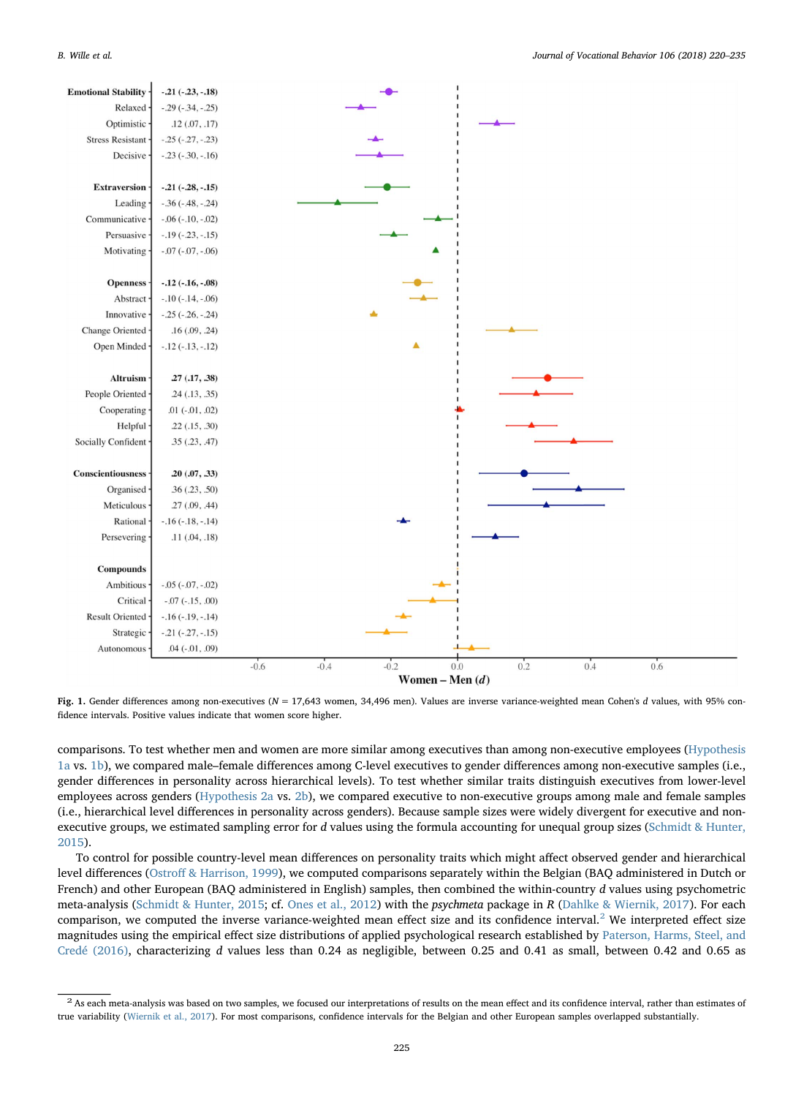<span id="page-5-1"></span>

Fig. 1. Gender differences among non-executives ( $N = 17,643$  women, 34,496 men). Values are inverse variance-weighted mean Cohen's d values, with 95% confidence intervals. Positive values indicate that women score higher.

comparisons. To test whether men and women are more similar among executives than among non-executive employees [\(Hypothesis](#page-3-0) [1a](#page-3-0) vs. [1b](#page-3-1)), we compared male–female differences among C-level executives to gender differences among non-executive samples (i.e., gender differences in personality across hierarchical levels). To test whether similar traits distinguish executives from lower-level employees across genders [\(Hypothesis 2a](#page-4-1) vs. [2b\)](#page-4-2), we compared executive to non-executive groups among male and female samples (i.e., hierarchical level differences in personality across genders). Because sample sizes were widely divergent for executive and non-executive groups, we estimated sampling error for d values using the formula accounting for unequal group sizes ([Schmidt & Hunter,](#page-15-16) [2015\)](#page-15-16).

To control for possible country-level mean differences on personality traits which might affect observed gender and hierarchical level differences (Ostroff [& Harrison, 1999\)](#page-14-28), we computed comparisons separately within the Belgian (BAQ administered in Dutch or French) and other European (BAQ administered in English) samples, then combined the within-country d values using psychometric meta-analysis [\(Schmidt & Hunter, 2015](#page-15-16); cf. [Ones et al., 2012](#page-14-29)) with the psychmeta package in R [\(Dahlke & Wiernik, 2017](#page-13-28)). For each comparison, we computed the inverse variance-weighted mean effect size and its confidence interval.<sup>[2](#page-5-0)</sup> We interpreted effect size magnitudes using the empirical effect size distributions of applied psychological research established by [Paterson, Harms, Steel, and](#page-14-30) [Credé \(2016\),](#page-14-30) characterizing d values less than 0.24 as negligible, between 0.25 and 0.41 as small, between 0.42 and 0.65 as

<span id="page-5-0"></span> $2$  As each meta-analysis was based on two samples, we focused our interpretations of results on the mean effect and its confidence interval, rather than estimates of true variability [\(Wiernik et al., 2017](#page-15-17)). For most comparisons, confidence intervals for the Belgian and other European samples overlapped substantially.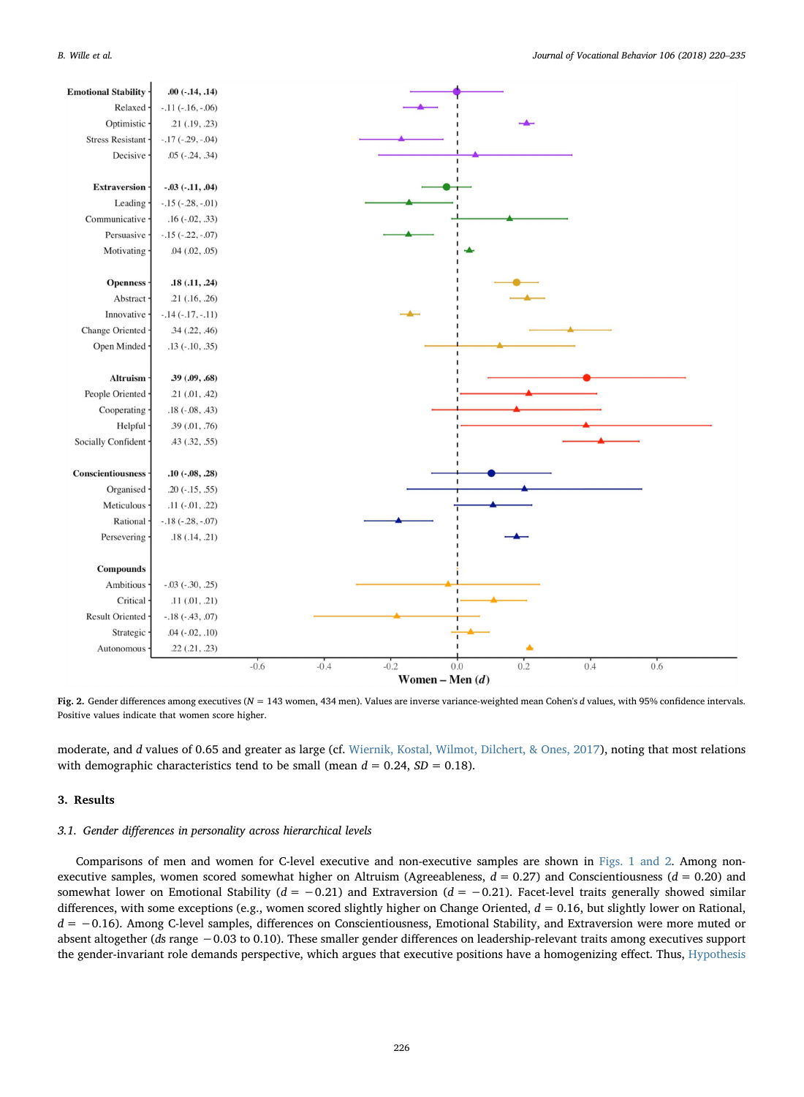

Fig. 2. Gender differences among executives (N = 143 women, 434 men). Values are inverse variance-weighted mean Cohen's d values, with 95% confidence intervals. Positive values indicate that women score higher.

moderate, and d values of 0.65 and greater as large (cf. [Wiernik, Kostal, Wilmot, Dilchert, & Ones, 2017](#page-15-17)), noting that most relations with demographic characteristics tend to be small (mean  $d = 0.24$ ,  $SD = 0.18$ ).

## 3. Results

## 3.1. Gender differences in personality across hierarchical levels

Comparisons of men and women for C-level executive and non-executive samples are shown in [Figs. 1 and 2.](#page-5-1) Among nonexecutive samples, women scored somewhat higher on Altruism (Agreeableness,  $d = 0.27$ ) and Conscientiousness ( $d = 0.20$ ) and somewhat lower on Emotional Stability ( $d = -0.21$ ) and Extraversion ( $d = -0.21$ ). Facet-level traits generally showed similar differences, with some exceptions (e.g., women scored slightly higher on Change Oriented,  $d = 0.16$ , but slightly lower on Rational, d = −0.16). Among C-level samples, differences on Conscientiousness, Emotional Stability, and Extraversion were more muted or absent altogether (ds range −0.03 to 0.10). These smaller gender differences on leadership-relevant traits among executives support the gender-invariant role demands perspective, which argues that executive positions have a homogenizing effect. Thus, [Hypothesis](#page-3-0)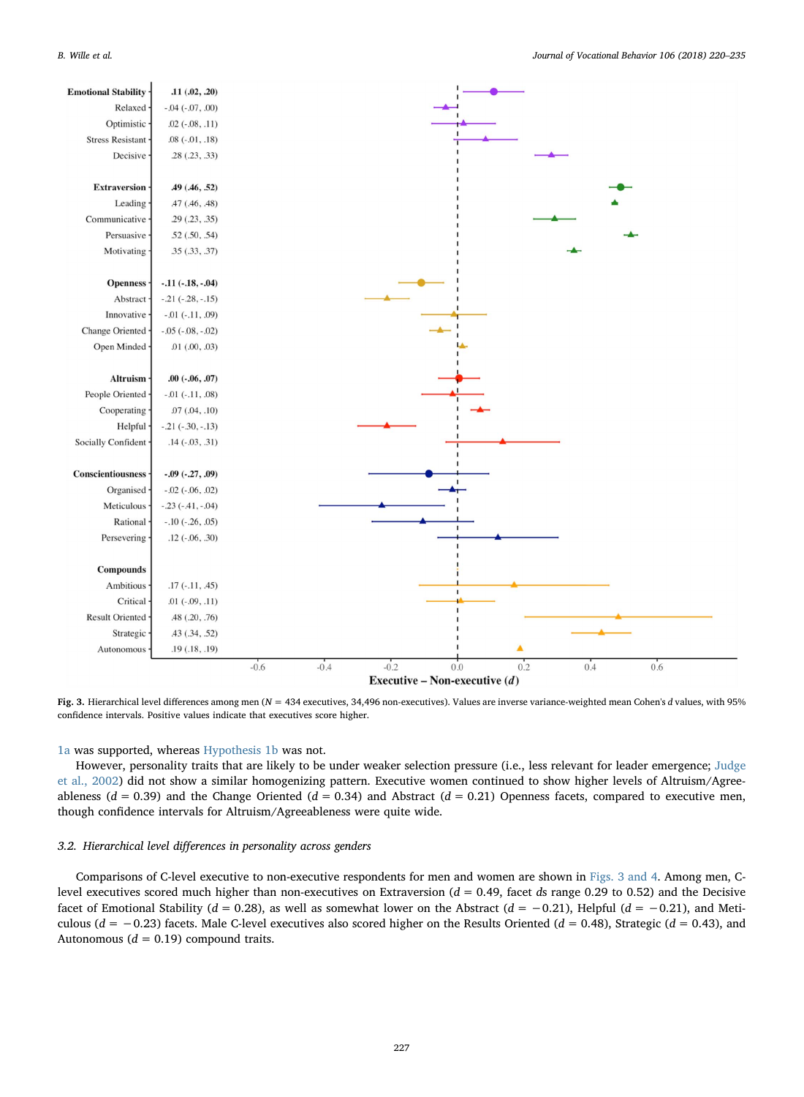<span id="page-7-0"></span>

Fig. 3. Hierarchical level differences among men ( $N = 434$  executives, 34,496 non-executives). Values are inverse variance-weighted mean Cohen's d values, with 95% confidence intervals. Positive values indicate that executives score higher.

#### [1a](#page-3-0) was supported, whereas [Hypothesis 1b](#page-3-1) was not.

However, personality traits that are likely to be under weaker selection pressure (i.e., less relevant for leader emergence; [Judge](#page-14-13) [et al., 2002](#page-14-13)) did not show a similar homogenizing pattern. Executive women continued to show higher levels of Altruism/Agreeableness ( $d = 0.39$ ) and the Change Oriented ( $d = 0.34$ ) and Abstract ( $d = 0.21$ ) Openness facets, compared to executive men, though confidence intervals for Altruism/Agreeableness were quite wide.

## 3.2. Hierarchical level differences in personality across genders

Comparisons of C-level executive to non-executive respondents for men and women are shown in [Figs. 3 and 4](#page-7-0). Among men, Clevel executives scored much higher than non-executives on Extraversion ( $d = 0.49$ , facet ds range 0.29 to 0.52) and the Decisive facet of Emotional Stability ( $d = 0.28$ ), as well as somewhat lower on the Abstract ( $d = -0.21$ ), Helpful ( $d = -0.21$ ), and Meticulous ( $d = -0.23$ ) facets. Male C-level executives also scored higher on the Results Oriented ( $d = 0.48$ ), Strategic ( $d = 0.43$ ), and Autonomous ( $d = 0.19$ ) compound traits.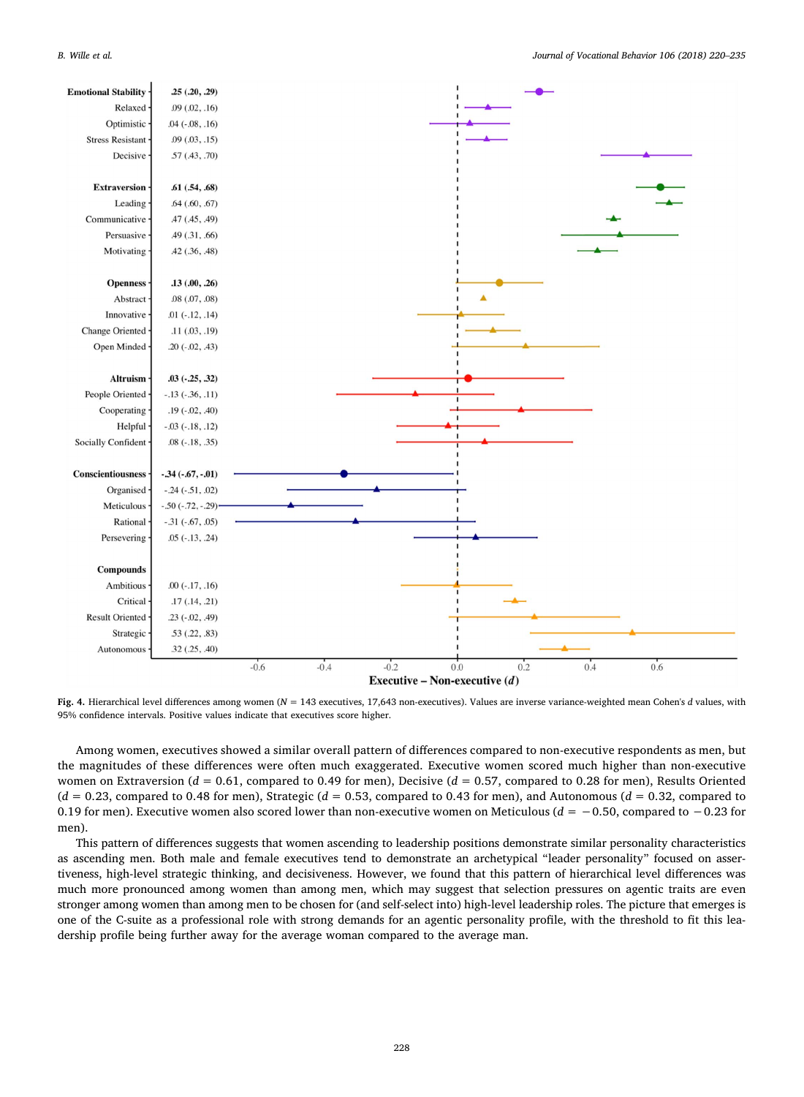

Fig. 4. Hierarchical level differences among women ( $N = 143$  executives, 17,643 non-executives). Values are inverse variance-weighted mean Cohen's d values, with 95% confidence intervals. Positive values indicate that executives score higher.

Among women, executives showed a similar overall pattern of differences compared to non-executive respondents as men, but the magnitudes of these differences were often much exaggerated. Executive women scored much higher than non-executive women on Extraversion ( $d = 0.61$ , compared to 0.49 for men), Decisive ( $d = 0.57$ , compared to 0.28 for men), Results Oriented  $(d = 0.23,$  compared to 0.48 for men), Strategic  $(d = 0.53,$  compared to 0.43 for men), and Autonomous  $(d = 0.32,$  compared to 0.19 for men). Executive women also scored lower than non-executive women on Meticulous ( $d = -0.50$ , compared to  $-0.23$  for men).

This pattern of differences suggests that women ascending to leadership positions demonstrate similar personality characteristics as ascending men. Both male and female executives tend to demonstrate an archetypical "leader personality" focused on assertiveness, high-level strategic thinking, and decisiveness. However, we found that this pattern of hierarchical level differences was much more pronounced among women than among men, which may suggest that selection pressures on agentic traits are even stronger among women than among men to be chosen for (and self-select into) high-level leadership roles. The picture that emerges is one of the C-suite as a professional role with strong demands for an agentic personality profile, with the threshold to fit this leadership profile being further away for the average woman compared to the average man.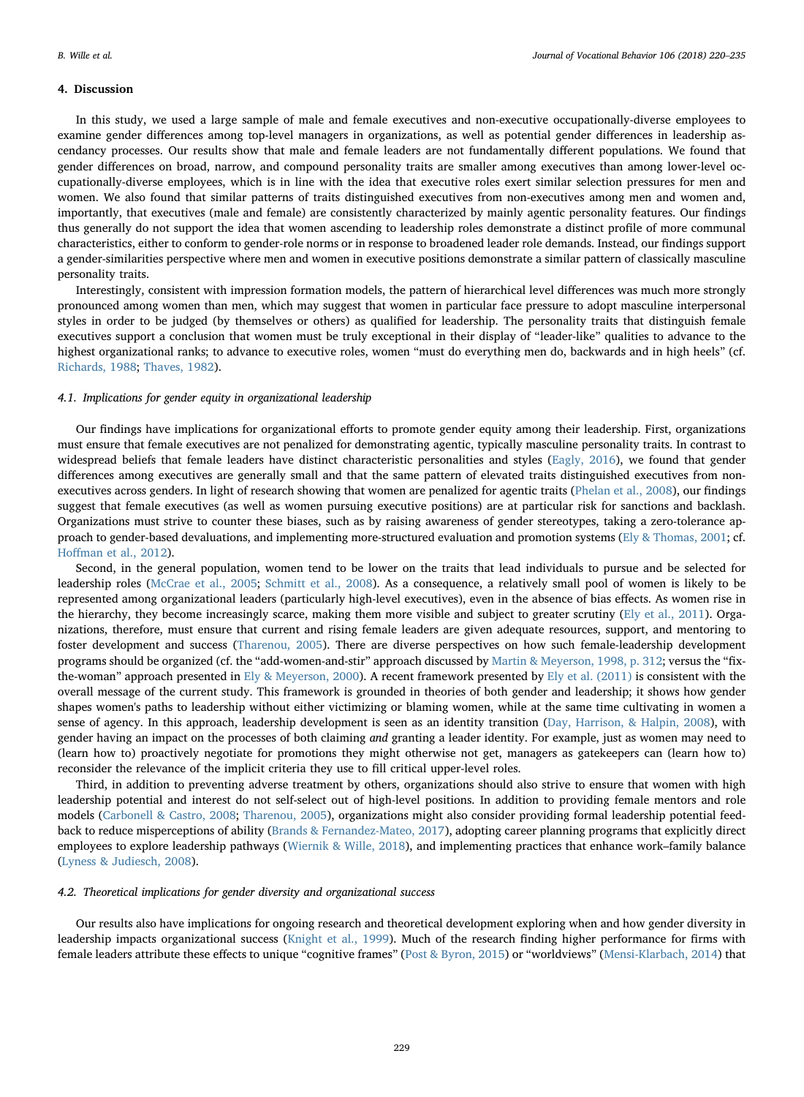## 4. Discussion

In this study, we used a large sample of male and female executives and non-executive occupationally-diverse employees to examine gender differences among top-level managers in organizations, as well as potential gender differences in leadership ascendancy processes. Our results show that male and female leaders are not fundamentally different populations. We found that gender differences on broad, narrow, and compound personality traits are smaller among executives than among lower-level occupationally-diverse employees, which is in line with the idea that executive roles exert similar selection pressures for men and women. We also found that similar patterns of traits distinguished executives from non-executives among men and women and, importantly, that executives (male and female) are consistently characterized by mainly agentic personality features. Our findings thus generally do not support the idea that women ascending to leadership roles demonstrate a distinct profile of more communal characteristics, either to conform to gender-role norms or in response to broadened leader role demands. Instead, our findings support a gender-similarities perspective where men and women in executive positions demonstrate a similar pattern of classically masculine personality traits.

Interestingly, consistent with impression formation models, the pattern of hierarchical level differences was much more strongly pronounced among women than men, which may suggest that women in particular face pressure to adopt masculine interpersonal styles in order to be judged (by themselves or others) as qualified for leadership. The personality traits that distinguish female executives support a conclusion that women must be truly exceptional in their display of "leader-like" qualities to advance to the highest organizational ranks; to advance to executive roles, women "must do everything men do, backwards and in high heels" (cf. [Richards, 1988;](#page-15-18) [Thaves, 1982\)](#page-15-19).

#### 4.1. Implications for gender equity in organizational leadership

Our findings have implications for organizational efforts to promote gender equity among their leadership. First, organizations must ensure that female executives are not penalized for demonstrating agentic, typically masculine personality traits. In contrast to widespread beliefs that female leaders have distinct characteristic personalities and styles ([Eagly, 2016](#page-13-5)), we found that gender differences among executives are generally small and that the same pattern of elevated traits distinguished executives from nonexecutives across genders. In light of research showing that women are penalized for agentic traits ([Phelan et al., 2008](#page-14-21)), our findings suggest that female executives (as well as women pursuing executive positions) are at particular risk for sanctions and backlash. Organizations must strive to counter these biases, such as by raising awareness of gender stereotypes, taking a zero-tolerance approach to gender-based devaluations, and implementing more-structured evaluation and promotion systems ([Ely & Thomas, 2001](#page-13-29); cf. Hoff[man et al., 2012](#page-13-30)).

Second, in the general population, women tend to be lower on the traits that lead individuals to pursue and be selected for leadership roles [\(McCrae et al., 2005](#page-14-7); [Schmitt et al., 2008](#page-15-2)). As a consequence, a relatively small pool of women is likely to be represented among organizational leaders (particularly high-level executives), even in the absence of bias effects. As women rise in the hierarchy, they become increasingly scarce, making them more visible and subject to greater scrutiny ([Ely et al., 2011\)](#page-13-1). Organizations, therefore, must ensure that current and rising female leaders are given adequate resources, support, and mentoring to foster development and success ([Tharenou, 2005](#page-15-20)). There are diverse perspectives on how such female-leadership development programs should be organized (cf. the "add-women-and-stir" approach discussed by [Martin & Meyerson, 1998, p. 312;](#page-14-31) versus the "fixthe-woman" approach presented in [Ely & Meyerson, 2000](#page-13-31)). A recent framework presented by [Ely et al. \(2011\)](#page-13-1) is consistent with the overall message of the current study. This framework is grounded in theories of both gender and leadership; it shows how gender shapes women's paths to leadership without either victimizing or blaming women, while at the same time cultivating in women a sense of agency. In this approach, leadership development is seen as an identity transition ([Day, Harrison, & Halpin, 2008](#page-13-32)), with gender having an impact on the processes of both claiming and granting a leader identity. For example, just as women may need to (learn how to) proactively negotiate for promotions they might otherwise not get, managers as gatekeepers can (learn how to) reconsider the relevance of the implicit criteria they use to fill critical upper-level roles.

Third, in addition to preventing adverse treatment by others, organizations should also strive to ensure that women with high leadership potential and interest do not self-select out of high-level positions. In addition to providing female mentors and role models ([Carbonell & Castro, 2008;](#page-13-9) [Tharenou, 2005](#page-15-20)), organizations might also consider providing formal leadership potential feedback to reduce misperceptions of ability [\(Brands & Fernandez-Mateo, 2017](#page-13-33)), adopting career planning programs that explicitly direct employees to explore leadership pathways ([Wiernik & Wille, 2018\)](#page-15-21), and implementing practices that enhance work–family balance ([Lyness & Judiesch, 2008\)](#page-14-32).

## 4.2. Theoretical implications for gender diversity and organizational success

Our results also have implications for ongoing research and theoretical development exploring when and how gender diversity in leadership impacts organizational success ([Knight et al., 1999\)](#page-14-33). Much of the research finding higher performance for firms with female leaders attribute these effects to unique "cognitive frames" [\(Post & Byron, 2015\)](#page-14-2) or "worldviews" [\(Mensi-Klarbach, 2014](#page-14-34)) that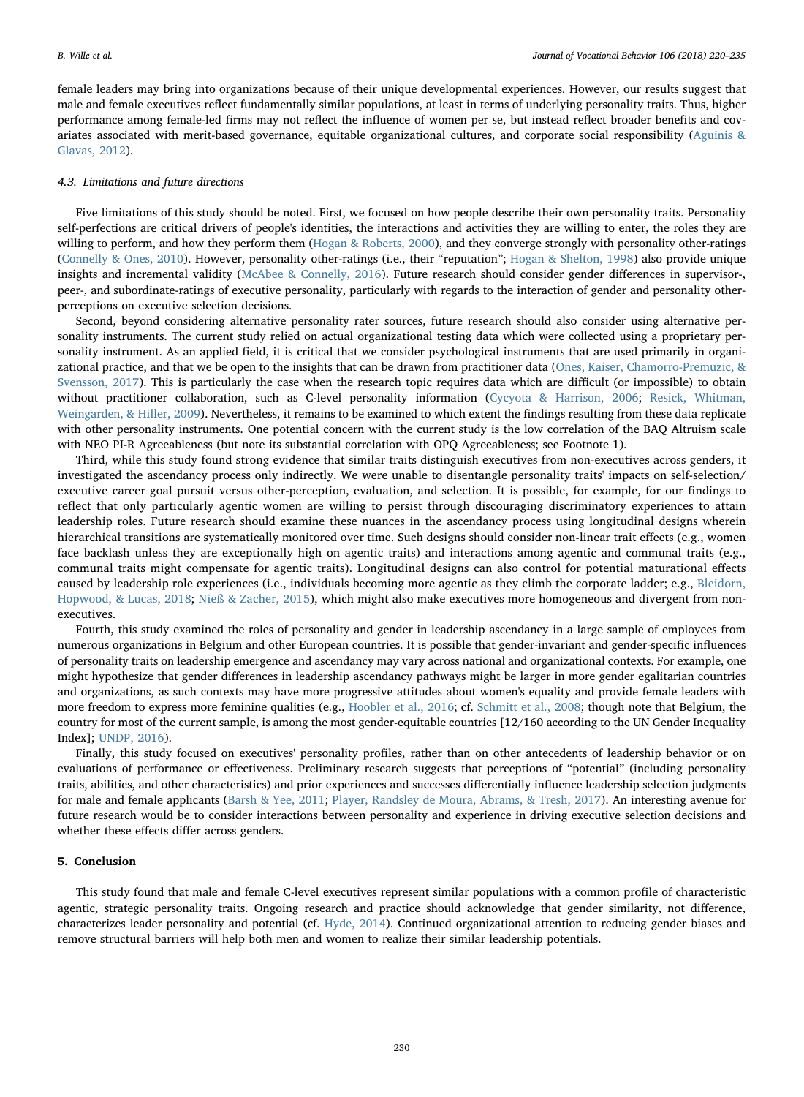female leaders may bring into organizations because of their unique developmental experiences. However, our results suggest that male and female executives reflect fundamentally similar populations, at least in terms of underlying personality traits. Thus, higher performance among female-led firms may not reflect the influence of women per se, but instead reflect broader benefits and covariates associated with merit-based governance, equitable organizational cultures, and corporate social responsibility ([Aguinis &](#page-13-34) [Glavas, 2012](#page-13-34)).

#### 4.3. Limitations and future directions

Five limitations of this study should be noted. First, we focused on how people describe their own personality traits. Personality self-perfections are critical drivers of people's identities, the interactions and activities they are willing to enter, the roles they are willing to perform, and how they perform them [\(Hogan & Roberts, 2000\)](#page-13-35), and they converge strongly with personality other-ratings ([Connelly & Ones, 2010](#page-13-36)). However, personality other-ratings (i.e., their "reputation"; [Hogan & Shelton, 1998](#page-13-37)) also provide unique insights and incremental validity ([McAbee & Connelly, 2016](#page-14-35)). Future research should consider gender differences in supervisor-, peer-, and subordinate-ratings of executive personality, particularly with regards to the interaction of gender and personality otherperceptions on executive selection decisions.

Second, beyond considering alternative personality rater sources, future research should also consider using alternative personality instruments. The current study relied on actual organizational testing data which were collected using a proprietary personality instrument. As an applied field, it is critical that we consider psychological instruments that are used primarily in organizational practice, and that we be open to the insights that can be drawn from practitioner data ([Ones, Kaiser, Chamorro-Premuzic, &](#page-14-36) [Svensson, 2017](#page-14-36)). This is particularly the case when the research topic requires data which are difficult (or impossible) to obtain without practitioner collaboration, such as C-level personality information ([Cycyota & Harrison, 2006;](#page-13-38) [Resick, Whitman,](#page-14-37) [Weingarden, & Hiller, 2009\)](#page-14-37). Nevertheless, it remains to be examined to which extent the findings resulting from these data replicate with other personality instruments. One potential concern with the current study is the low correlation of the BAQ Altruism scale with NEO PI-R Agreeableness (but note its substantial correlation with OPQ Agreeableness; see Footnote 1).

Third, while this study found strong evidence that similar traits distinguish executives from non-executives across genders, it investigated the ascendancy process only indirectly. We were unable to disentangle personality traits' impacts on self-selection/ executive career goal pursuit versus other-perception, evaluation, and selection. It is possible, for example, for our findings to reflect that only particularly agentic women are willing to persist through discouraging discriminatory experiences to attain leadership roles. Future research should examine these nuances in the ascendancy process using longitudinal designs wherein hierarchical transitions are systematically monitored over time. Such designs should consider non-linear trait effects (e.g., women face backlash unless they are exceptionally high on agentic traits) and interactions among agentic and communal traits (e.g., communal traits might compensate for agentic traits). Longitudinal designs can also control for potential maturational effects caused by leadership role experiences (i.e., individuals becoming more agentic as they climb the corporate ladder; e.g., [Bleidorn,](#page-13-39) [Hopwood, & Lucas, 2018;](#page-13-39) [Nieß & Zacher, 2015\)](#page-14-38), which might also make executives more homogeneous and divergent from nonexecutives.

Fourth, this study examined the roles of personality and gender in leadership ascendancy in a large sample of employees from numerous organizations in Belgium and other European countries. It is possible that gender-invariant and gender-specific influences of personality traits on leadership emergence and ascendancy may vary across national and organizational contexts. For example, one might hypothesize that gender differences in leadership ascendancy pathways might be larger in more gender egalitarian countries and organizations, as such contexts may have more progressive attitudes about women's equality and provide female leaders with more freedom to express more feminine qualities (e.g., [Hoobler et al., 2016;](#page-13-0) cf. [Schmitt et al., 2008;](#page-15-2) though note that Belgium, the country for most of the current sample, is among the most gender-equitable countries [12/160 according to the UN Gender Inequality Index]; [UNDP, 2016](#page-15-22)).

Finally, this study focused on executives' personality profiles, rather than on other antecedents of leadership behavior or on evaluations of performance or effectiveness. Preliminary research suggests that perceptions of "potential" (including personality traits, abilities, and other characteristics) and prior experiences and successes differentially influence leadership selection judgments for male and female applicants [\(Barsh & Yee, 2011](#page-13-40); [Player, Randsley de Moura, Abrams, & Tresh, 2017](#page-14-39)). An interesting avenue for future research would be to consider interactions between personality and experience in driving executive selection decisions and whether these effects differ across genders.

#### 5. Conclusion

This study found that male and female C-level executives represent similar populations with a common profile of characteristic agentic, strategic personality traits. Ongoing research and practice should acknowledge that gender similarity, not difference, characterizes leader personality and potential (cf. [Hyde, 2014](#page-14-11)). Continued organizational attention to reducing gender biases and remove structural barriers will help both men and women to realize their similar leadership potentials.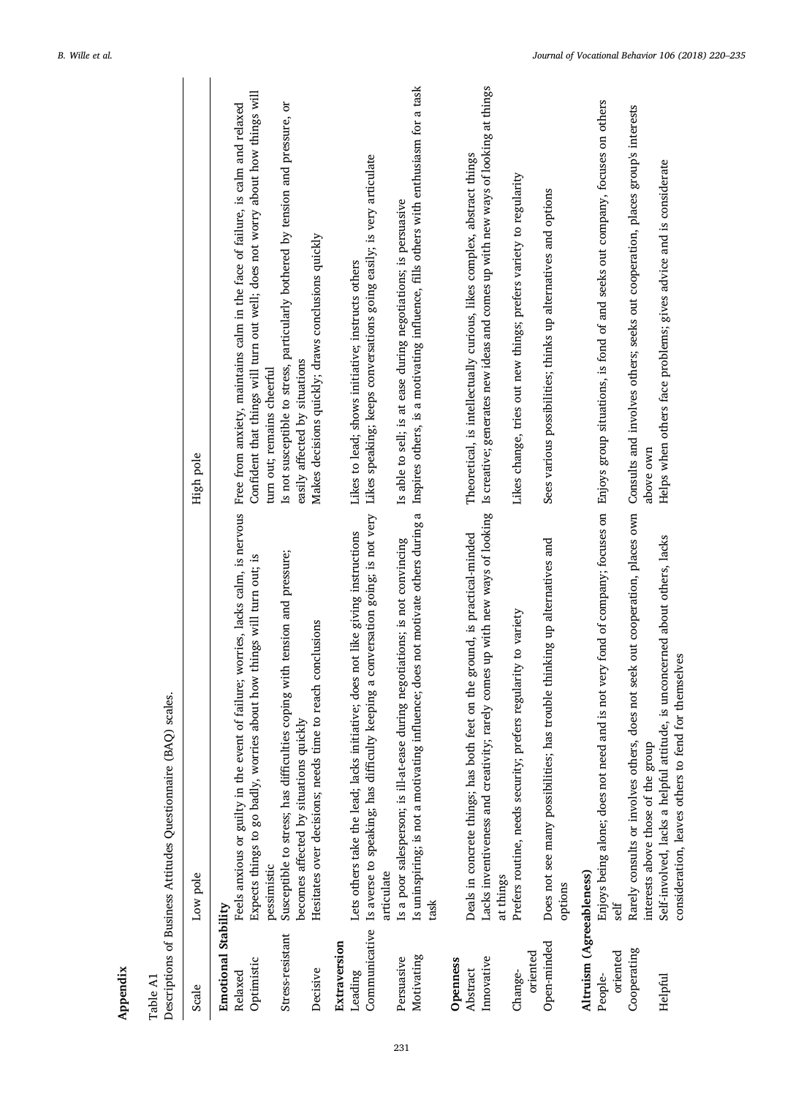|                                                                              | Descriptions of Business Attitudes Questionnaire (BAQ) scales.                                                                                                                                                                                                                                                                                                      |                                                                                                                                                                                                                                                                                                                                                                         |
|------------------------------------------------------------------------------|---------------------------------------------------------------------------------------------------------------------------------------------------------------------------------------------------------------------------------------------------------------------------------------------------------------------------------------------------------------------|-------------------------------------------------------------------------------------------------------------------------------------------------------------------------------------------------------------------------------------------------------------------------------------------------------------------------------------------------------------------------|
| Scale                                                                        | Low pole                                                                                                                                                                                                                                                                                                                                                            | High pole                                                                                                                                                                                                                                                                                                                                                               |
| Emotional Stability<br>Stress-resistant<br>Optimistic<br>Decisive<br>Relaxed | of failure; worries, lacks calm, is nervous<br>Susceptible to stress; has difficulties coping with tension and pressure;<br>about how things will turn out; is<br>Hesitates over decisions; needs time to reach conclusions<br>becomes affected by situations quickly<br>Feels anxious or guilty in the event<br>Expects things to go badly, worries<br>pessimistic | Confident that things will turn out well; does not worry about how things will<br>Is not susceptible to stress, particularly bothered by tension and pressure, or<br>Free from anxiety, maintains calm in the face of failure, is calm and relaxed<br>Makes decisions quickly; draws conclusions quickly<br>easily affected by situations<br>turn out; remains cheerful |
| Communicative<br>Extraversion<br>Leading                                     | Is averse to speaking; has difficulty keeping a conversation going; is not very<br>Lets others take the lead; lacks initiative; does not like giving instructions<br>articulate                                                                                                                                                                                     | Likes speaking; keeps conversations going easily; is very articulate<br>Likes to lead; shows initiative; instructs others                                                                                                                                                                                                                                               |
| Motivating<br>Persuasive                                                     | Is uninspiring; is not a motivating influence; does not motivate others during a<br>Is a poor salesperson; is ill-at-ease during negotiations; is not convincing<br>task                                                                                                                                                                                            | Inspires others, is a motivating influence, fills others with enthusiasm for a task<br>Is able to sell; is at ease during negotiations; is persuasive                                                                                                                                                                                                                   |
| Innovative<br>Openness<br>Abstract                                           | rarely comes up with new ways of looking<br>Deals in concrete things; has both feet on the ground, is practical-minded<br>Lacks inventiveness and creativity;<br>at things                                                                                                                                                                                          | Is creative; generates new ideas and comes up with new ways of looking at things<br>Theoretical, is intellectually curious, likes complex, abstract things                                                                                                                                                                                                              |
| oriented<br>Change-                                                          | Prefers routine, needs security; prefers regularity to variety                                                                                                                                                                                                                                                                                                      | Likes change, tries out new things; prefers variety to regularity                                                                                                                                                                                                                                                                                                       |
| Open-minded                                                                  | Does not see many possibilities; has trouble thinking up alternatives and<br>options                                                                                                                                                                                                                                                                                | Sees various possibilities; thinks up alternatives and options                                                                                                                                                                                                                                                                                                          |
| Altruism (Agreeableness)<br>oriented<br>People-                              | Enjoys being alone; does not need and is not very fond of company; focuses on Enjoys group situations, is fond of and seeks out company, focuses on others<br>self                                                                                                                                                                                                  |                                                                                                                                                                                                                                                                                                                                                                         |
| Cooperating                                                                  | does not seek out cooperation, places own<br>Rarely consults or involves others,<br>interests above those of the group                                                                                                                                                                                                                                              | Consults and involves others; seeks out cooperation, places group's interests<br>above own                                                                                                                                                                                                                                                                              |
| Helpful                                                                      | Self-involved, lacks a helpful attitude, is unconcerned about others, lacks<br>consideration, leaves others to fend for themselves                                                                                                                                                                                                                                  | Helps when others face problems; gives advice and is considerate                                                                                                                                                                                                                                                                                                        |

 $P_{AD}$ .  $\ddot{\phantom{0}}$ Ċ ł,  $\cdot$ J, ŀ,  $\epsilon$ Appendix Table A1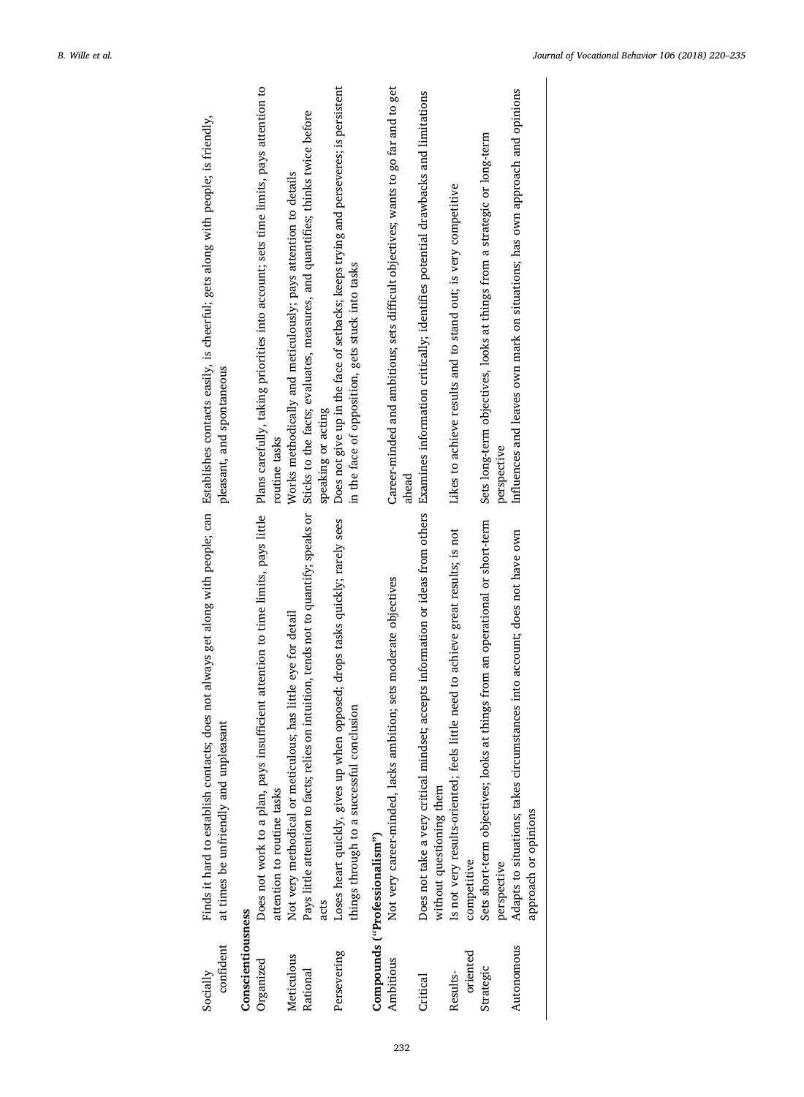| pleasant, and spontaneous                                                                                                                                                                               | Plans carefully, taking priorities into account; sets time limits, pays attention to<br>Sticks to the facts; evaluates, measures, and quantifies; thinks twice before<br>Works methodically and meticulously; pays attention to details<br>routine tasks                   | Does not give up in the face of setbacks; keeps trying and perseveres; is persistent<br>in the face of opposition, gets stuck into tasks<br>speaking or acting | Career-minded and ambitious; sets difficult objectives; wants to go far and to get<br>ahead       | Examines information critically; identifies potential drawbacks and limitations                             | Likes to achieve results and to stand out; is very competitive                                  | Sets long-term objectives, looks at things from a strategic or long-term<br>perspective         | Influences and leaves own mark on situations; has own approach and opinions                       |
|---------------------------------------------------------------------------------------------------------------------------------------------------------------------------------------------------------|----------------------------------------------------------------------------------------------------------------------------------------------------------------------------------------------------------------------------------------------------------------------------|----------------------------------------------------------------------------------------------------------------------------------------------------------------|---------------------------------------------------------------------------------------------------|-------------------------------------------------------------------------------------------------------------|-------------------------------------------------------------------------------------------------|-------------------------------------------------------------------------------------------------|---------------------------------------------------------------------------------------------------|
| Finds it hard to establish contacts; does not always get along with people; can Establishes contacts easily, is cheerful; gets along with people; is friendly,<br>at times be unfriendly and unpleasant | Pays little attention to facts; relies on intuition, tends not to quantify; speaks or<br>Does not work to a plan, pays insufficient attention to time limits, pays little<br>has little eye for detail<br>Not very methodical or meticulous;<br>attention to routine tasks | opposed; drops tasks quickly; rarely sees<br>things through to a successful conclusion<br>Loses heart quickly, gives up when<br>acts                           | Not very career-minded, lacks ambition; sets moderate objectives<br>Compounds ("Professionalism") | Does not take a very critical mindset; accepts information or ideas from others<br>without questioning them | Is not very results-oriented; feels little need to achieve great results; is not<br>competitive | things from an operational or short-term<br>Sets short-term objectives; looks at<br>perspective | Adapts to situations; takes circumstances into account; does not have own<br>approach or opinions |
| confident<br>Socially                                                                                                                                                                                   | Conscientiousness<br>Meticulous<br>Organized<br>Rational                                                                                                                                                                                                                   | Persevering                                                                                                                                                    | Ambitious                                                                                         | Critical                                                                                                    | oriented<br>Results-                                                                            | Strategic                                                                                       | Autonomous                                                                                        |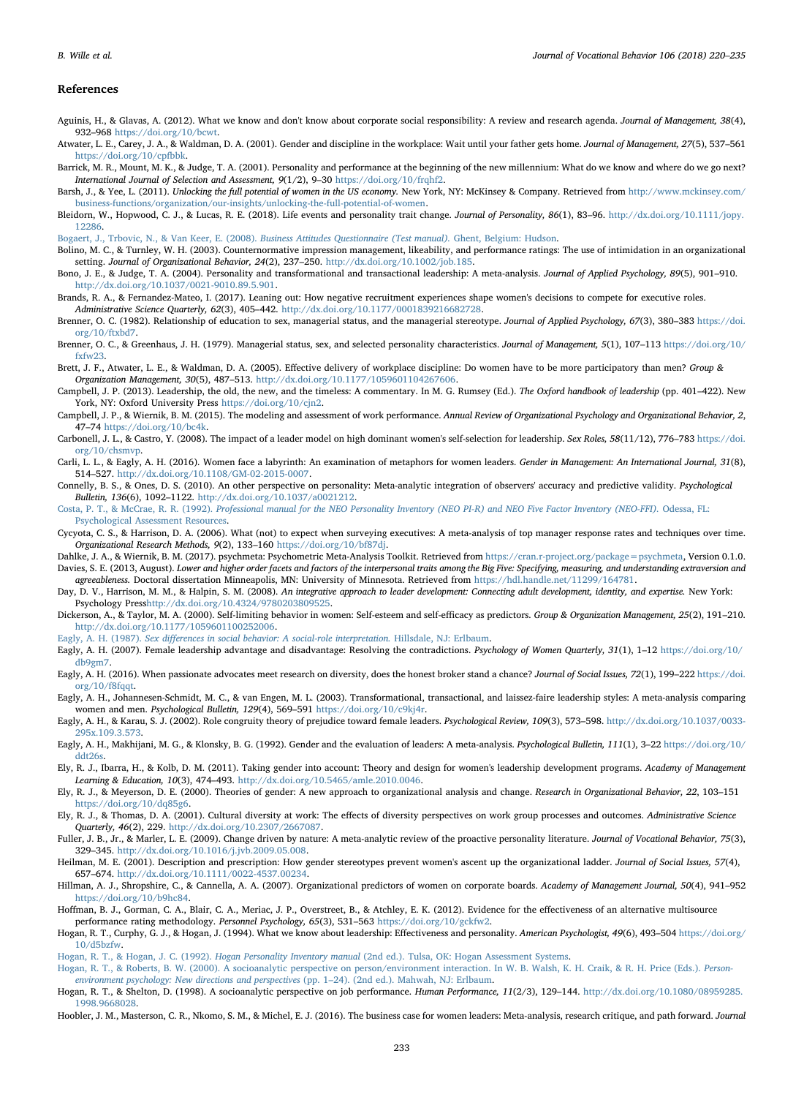#### References

- <span id="page-13-34"></span>Aguinis, H., & Glavas, A. (2012). What we know and don't know about corporate social responsibility: A review and research agenda. Journal of Management, 38(4), 932–968 <https://doi.org/10/bcwt>.
- <span id="page-13-19"></span>Atwater, L. E., Carey, J. A., & Waldman, D. A. (2001). Gender and discipline in the workplace: Wait until your father gets home. Journal of Management, 27(5), 537-561 [https://doi.org/10/cpfbbk.](https://doi.org/10/cpfbbk)
- <span id="page-13-24"></span>Barrick, M. R., Mount, M. K., & Judge, T. A. (2001). Personality and performance at the beginning of the new millennium: What do we know and where do we go next? International Journal of Selection and Assessment, 9(1/2), 9–30 <https://doi.org/10/frqhf2>.
- <span id="page-13-40"></span>Barsh, J., & Yee, L. (2011). Unlocking the full potential of women in the US economy. New York, NY: McKinsey & Company. Retrieved from [http://www.mckinsey.com/](http://www.mckinsey.com/business-functions/organization/our-insights/unlocking-the-full-potential-of-women) [business-functions/organization/our-insights/unlocking-the-full-potential-of-women.](http://www.mckinsey.com/business-functions/organization/our-insights/unlocking-the-full-potential-of-women)
- <span id="page-13-39"></span>Bleidorn, W., Hopwood, C. J., & Lucas, R. E. (2018). Life events and personality trait change. Journal of Personality, 86(1), 83-96. [http://dx.doi.org/10.1111/jopy.](http://dx.doi.org/10.1111/jopy.12286) [12286.](http://dx.doi.org/10.1111/jopy.12286)

<span id="page-13-23"></span>[Bogaert, J., Trbovic, N., & Van Keer, E. \(2008\).](http://refhub.elsevier.com/S0001-8791(18)30022-8/rf0030) Business Attitudes Questionnaire (Test manual). Ghent, Belgium: Hudson.

- <span id="page-13-18"></span>Bolino, M. C., & Turnley, W. H. (2003). Counternormative impression management, likeability, and performance ratings: The use of intimidation in an organizational setting. Journal of Organizational Behavior, 24(2), 237-250. <http://dx.doi.org/10.1002/job.185>.
- <span id="page-13-6"></span>Bono, J. E., & Judge, T. A. (2004). Personality and transformational and transactional leadership: A meta-analysis. Journal of Applied Psychology, 89(5), 901–910. <http://dx.doi.org/10.1037/0021-9010.89.5.901>.
- <span id="page-13-33"></span>Brands, R. A., & Fernandez-Mateo, I. (2017). Leaning out: How negative recruitment experiences shape women's decisions to compete for executive roles. Administrative Science Quarterly, 62(3), 405–442. <http://dx.doi.org/10.1177/0001839216682728>.
- <span id="page-13-12"></span>Brenner, O. C. (1982). Relationship of education to sex, managerial status, and the managerial stereotype. Journal of Applied Psychology, 67(3), 380–383 [https://doi.](https://doi.org/10/ftxbd7) [org/10/ftxbd7.](https://doi.org/10/ftxbd7)
- <span id="page-13-13"></span>Brenner, O. C., & Greenhaus, J. H. (1979). Managerial status, sex, and selected personality characteristics. Journal of Management, 5(1), 107-113 [https://doi.org/10/](https://doi.org/10/fxfw23) [fxfw23.](https://doi.org/10/fxfw23)
- <span id="page-13-20"></span>Brett, J. F., Atwater, L. E., & Waldman, D. A. (2005). Effective delivery of workplace discipline: Do women have to be more participatory than men? Group & Organization Management, 30(5), 487–513. [http://dx.doi.org/10.1177/1059601104267606.](http://dx.doi.org/10.1177/1059601104267606)
- <span id="page-13-11"></span>Campbell, J. P. (2013). Leadership, the old, the new, and the timeless: A commentary. In M. G. Rumsey (Ed.). The Oxford handbook of leadership (pp. 401–422). New York, NY: Oxford University Press https://doi.org/10/cin2.
- <span id="page-13-21"></span>Campbell, J. P., & Wiernik, B. M. (2015). The modeling and assessment of work performance. Annual Review of Organizational Psychology and Organizational Behavior, 2, 47–74 [https://doi.org/10/bc4k.](https://doi.org/10/bc4k)
- <span id="page-13-9"></span>Carbonell, J. L., & Castro, Y. (2008). The impact of a leader model on high dominant women's self-selection for leadership. Sex Roles, 58(11/12), 776–783 [https://doi.](https://doi.org/10/chsmvp) [org/10/chsmvp](https://doi.org/10/chsmvp).
- <span id="page-13-4"></span>Carli, L. L., & Eagly, A. H. (2016). Women face a labyrinth: An examination of metaphors for women leaders. Gender in Management: An International Journal, 31(8), 514–527. <http://dx.doi.org/10.1108/GM-02-2015-0007>.
- <span id="page-13-36"></span>Connelly, B. S., & Ones, D. S. (2010). An other perspective on personality: Meta-analytic integration of observers' accuracy and predictive validity. Psychological Bulletin, 136(6), 1092–1122. <http://dx.doi.org/10.1037/a0021212>.
- <span id="page-13-25"></span>Costa, P. T., & McCrae, R. R. (1992). [Professional manual for the NEO Personality Inventory \(NEO PI-R\) and NEO Five Factor Inventory \(NEO-FFI\).](http://refhub.elsevier.com/S0001-8791(18)30022-8/rf0090) Odessa, FL: [Psychological Assessment Resources.](http://refhub.elsevier.com/S0001-8791(18)30022-8/rf0090)
- <span id="page-13-38"></span>Cycyota, C. S., & Harrison, D. A. (2006). What (not) to expect when surveying executives: A meta-analysis of top manager response rates and techniques over time. Organizational Research Methods, 9(2), 133–160 <https://doi.org/10/bf87dj>.
- <span id="page-13-28"></span><span id="page-13-26"></span>Dahlke, J. A., & Wiernik, B. M. (2017). psychmeta: Psychometric Meta-Analysis Toolkit. Retrieved from [https://cran.r-project.org/package=psychmeta,](https://cran.r-project.org/package=psychmeta) Version 0.1.0. Davies, S. E. (2013, August). Lower and higher order facets and factors of the interpersonal traits among the Big Five: Specifying, measuring, and understanding extraversion and agreeableness. Doctoral dissertation Minneapolis, MN: University of Minnesota. Retrieved from [https://hdl.handle.net/11299/164781.](https://hdl.handle.net/11299/164781)
- <span id="page-13-32"></span>Day, D. V., Harrison, M. M., & Halpin, S. M. (2008). An integrative approach to leader development: Connecting adult development, identity, and expertise. New York: Psychology Pres[shttp://dx.doi.org/10.4324/9780203809525.](http://dx.doi.org/10.4324/9780203809525)
- <span id="page-13-10"></span>Dickerson, A., & Taylor, M. A. (2000). Self-limiting behavior in women: Self-esteem and self-efficacy as predictors. Group & Organization Management, 25(2), 191–210. <http://dx.doi.org/10.1177/1059601100252006>.
- <span id="page-13-14"></span>Eagly, A. H. (1987). Sex diff[erences in social behavior: A social-role interpretation.](http://refhub.elsevier.com/S0001-8791(18)30022-8/rf0120) Hillsdale, NJ: Erlbaum.
- <span id="page-13-3"></span>Eagly, A. H. (2007). Female leadership advantage and disadvantage: Resolving the contradictions. Psychology of Women Quarterly, 31(1), 1-12 [https://doi.org/10/](https://doi.org/10/db9gm7) [db9gm7](https://doi.org/10/db9gm7).
- <span id="page-13-5"></span>Eagly, A. H. (2016). When passionate advocates meet research on diversity, does the honest broker stand a chance? Journal of Social Issues, 72(1), 199-222 [https://doi.](https://doi.org/10/f8fqqt) [org/10/f8fqqt.](https://doi.org/10/f8fqqt)
- <span id="page-13-7"></span>Eagly, A. H., Johannesen-Schmidt, M. C., & van Engen, M. L. (2003). Transformational, transactional, and laissez-faire leadership styles: A meta-analysis comparing women and men. Psychological Bulletin, 129(4), 569–591 [https://doi.org/10/c9kj4r.](https://doi.org/10/c9kj4r)
- <span id="page-13-15"></span>Eagly, A. H., & Karau, S. J. (2002). Role congruity theory of prejudice toward female leaders. Psychological Review, 109(3), 573-598. [http://dx.doi.org/10.1037/0033-](http://dx.doi.org/10.1037/0033-295x.109.3.573) [295x.109.3.573](http://dx.doi.org/10.1037/0033-295x.109.3.573).
- <span id="page-13-17"></span>Eagly, A. H., Makhijani, M. G., & Klonsky, B. G. (1992). Gender and the evaluation of leaders: A meta-analysis. Psychological Bulletin, 111(1), 3–22 [https://doi.org/10/](https://doi.org/10/ddt26s) [ddt26s](https://doi.org/10/ddt26s).
- <span id="page-13-1"></span>Ely, R. J., Ibarra, H., & Kolb, D. M. (2011). Taking gender into account: Theory and design for women's leadership development programs. Academy of Management Learning & Education, 10(3), 474–493. <http://dx.doi.org/10.5465/amle.2010.0046>.
- <span id="page-13-31"></span>Ely, R. J., & Meyerson, D. E. (2000). Theories of gender: A new approach to organizational analysis and change. Research in Organizational Behavior, 22, 103–151 [https://doi.org/10/dq85g6.](https://doi.org/10/dq85g6)
- <span id="page-13-29"></span>Ely, R. J., & Thomas, D. A. (2001). Cultural diversity at work: The effects of diversity perspectives on work group processes and outcomes. Administrative Science Quarterly, 46(2), 229. <http://dx.doi.org/10.2307/2667087>.
- <span id="page-13-22"></span>Fuller, J. B., Jr., & Marler, L. E. (2009). Change driven by nature: A meta-analytic review of the proactive personality literature. Journal of Vocational Behavior, 75(3), 329–345. [http://dx.doi.org/10.1016/j.jvb.2009.05.008.](http://dx.doi.org/10.1016/j.jvb.2009.05.008)
- <span id="page-13-16"></span>Heilman, M. E. (2001). Description and prescription: How gender stereotypes prevent women's ascent up the organizational ladder. Journal of Social Issues, 57(4), 657–674. [http://dx.doi.org/10.1111/0022-4537.00234.](http://dx.doi.org/10.1111/0022-4537.00234)
- <span id="page-13-2"></span>Hillman, A. J., Shropshire, C., & Cannella, A. A. (2007). Organizational predictors of women on corporate boards. Academy of Management Journal, 50(4), 941–952 [https://doi.org/10/b9hc84.](https://doi.org/10/b9hc84)
- <span id="page-13-30"></span>Hoffman, B. J., Gorman, C. A., Blair, C. A., Meriac, J. P., Overstreet, B., & Atchley, E. K. (2012). Evidence for the effectiveness of an alternative multisource performance rating methodology. Personnel Psychology, 65(3), 531–563 [https://doi.org/10/gckfw2.](https://doi.org/10/gckfw2)
- <span id="page-13-8"></span>Hogan, R. T., Curphy, G. J., & Hogan, J. (1994). What we know about leadership: Effectiveness and personality. American Psychologist, 49(6), 493–504 [https://doi.org/](https://doi.org/10/d5bzfw) [10/d5bzfw.](https://doi.org/10/d5bzfw)
- <span id="page-13-27"></span>Hogan, R. T., & Hogan, J. C. (1992). Hogan Personality Inventory manual [\(2nd ed.\). Tulsa, OK: Hogan Assessment Systems](http://refhub.elsevier.com/S0001-8791(18)30022-8/rf0190).
- <span id="page-13-35"></span>[Hogan, R. T., & Roberts, B. W. \(2000\). A socioanalytic perspective on person/environment interaction. In W. B. Walsh, K. H. Craik, & R. H. Price \(Eds.\).](http://refhub.elsevier.com/S0001-8791(18)30022-8/rf0195) Person[environment psychology: New directions and perspectives](http://refhub.elsevier.com/S0001-8791(18)30022-8/rf0195) (pp. 1–24). (2nd ed.). Mahwah, NJ: Erlbaum.
- <span id="page-13-37"></span>Hogan, R. T., & Shelton, D. (1998). A socioanalytic perspective on job performance. Human Performance, 11(2/3), 129–144. [http://dx.doi.org/10.1080/08959285.](http://dx.doi.org/10.1080/08959285.1998.9668028) [1998.9668028](http://dx.doi.org/10.1080/08959285.1998.9668028).
- <span id="page-13-0"></span>Hoobler, J. M., Masterson, C. R., Nkomo, S. M., & Michel, E. J. (2016). The business case for women leaders: Meta-analysis, research critique, and path forward. Journal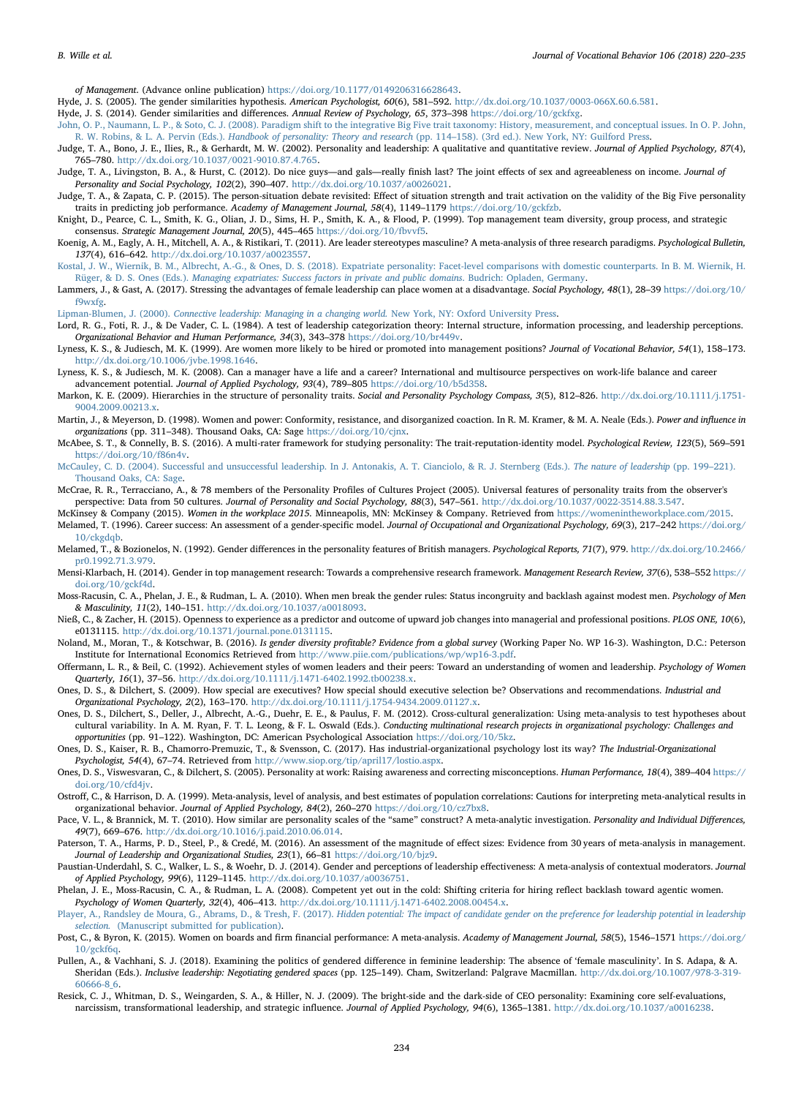of Management. (Advance online publication) [https://doi.org/10.1177/0149206316628643.](https://doi.org/10.1177/0149206316628643)

- <span id="page-14-4"></span>Hyde, J. S. (2005). The gender similarities hypothesis. American Psychologist, 60(6), 581–592. <http://dx.doi.org/10.1037/0003-066X.60.6.581>.
- <span id="page-14-11"></span>Hyde, J. S. (2014). Gender similarities and differences. Annual Review of Psychology, 65, 373–398 [https://doi.org/10/gckfxg.](https://doi.org/10/gckfxg)
- <span id="page-14-5"></span>[John, O. P., Naumann, L. P., & Soto, C. J. \(2008\). Paradigm shift to the integrative Big Five trait taxonomy: History, measurement, and conceptual issues. In O. P. John,](http://refhub.elsevier.com/S0001-8791(18)30022-8/rf0220) R. W. Robins, & L. A. Pervin (Eds.). Handbook of personality: Theory and research (pp. 114–[158\). \(3rd ed.\). New York, NY: Guilford Press.](http://refhub.elsevier.com/S0001-8791(18)30022-8/rf0220)
- <span id="page-14-13"></span>Judge, T. A., Bono, J. E., Ilies, R., & Gerhardt, M. W. (2002). Personality and leadership: A qualitative and quantitative review. Journal of Applied Psychology, 87(4), 765–780. <http://dx.doi.org/10.1037/0021-9010.87.4.765>.
- <span id="page-14-22"></span>Judge, T. A., Livingston, B. A., & Hurst, C. (2012). Do nice guys—and gals—really finish last? The joint effects of sex and agreeableness on income. Journal of Personality and Social Psychology, 102(2), 390–407. [http://dx.doi.org/10.1037/a0026021.](http://dx.doi.org/10.1037/a0026021)
- <span id="page-14-10"></span>Judge, T. A., & Zapata, C. P. (2015). The person-situation debate revisited: Effect of situation strength and trait activation on the validity of the Big Five personality traits in predicting job performance. Academy of Management Journal, 58(4), 1149-1179 [https://doi.org/10/gckfzb.](https://doi.org/10/gckfzb)
- <span id="page-14-33"></span>Knight, D., Pearce, C. L., Smith, K. G., Olian, J. D., Sims, H. P., Smith, K. A., & Flood, P. (1999). Top management team diversity, group process, and strategic consensus. Strategic Management Journal, 20(5), 445–465 <https://doi.org/10/fbvvf5>.
- <span id="page-14-16"></span>Koenig, A. M., Eagly, A. H., Mitchell, A. A., & Ristikari, T. (2011). Are leader stereotypes masculine? A meta-analysis of three research paradigms. Psychological Bulletin, 137(4), 616–642. [http://dx.doi.org/10.1037/a0023557.](http://dx.doi.org/10.1037/a0023557)
- <span id="page-14-8"></span>[Kostal, J. W., Wiernik, B. M., Albrecht, A.-G., & Ones, D. S. \(2018\). Expatriate personality: Facet-level comparisons with domestic counterparts. In B. M. Wiernik, H.](http://refhub.elsevier.com/S0001-8791(18)30022-8/rf0250) Rüger, & D. S. Ones (Eds.). [Managing expatriates: Success factors in private and public domains](http://refhub.elsevier.com/S0001-8791(18)30022-8/rf0250). Budrich: Opladen, Germany.
- <span id="page-14-3"></span>Lammers, J., & Gast, A. (2017). Stressing the advantages of female leadership can place women at a disadvantage. Social Psychology, 48(1), 28-39 [https://doi.org/10/](https://doi.org/10/f9wxfg) [f9wxfg](https://doi.org/10/f9wxfg).
- <span id="page-14-24"></span>Lipman-Blumen, J. (2000). [Connective leadership: Managing in a changing world.](http://refhub.elsevier.com/S0001-8791(18)30022-8/rf0260) New York, NY: Oxford University Press.
- <span id="page-14-15"></span>Lord, R. G., Foti, R. J., & De Vader, C. L. (1984). A test of leadership categorization theory: Internal structure, information processing, and leadership perceptions. Organizational Behavior and Human Performance, 34(3), 343–378 [https://doi.org/10/br449v.](https://doi.org/10/br449v)
- <span id="page-14-23"></span>Lyness, K. S., & Judiesch, M. K. (1999). Are women more likely to be hired or promoted into management positions? Journal of Vocational Behavior, 54(1), 158–173. <http://dx.doi.org/10.1006/jvbe.1998.1646>.
- <span id="page-14-32"></span>Lyness, K. S., & Judiesch, M. K. (2008). Can a manager have a life and a career? International and multisource perspectives on work-life balance and career advancement potential. Journal of Applied Psychology, 93(4), 789–805 <https://doi.org/10/b5d358>.
- <span id="page-14-6"></span>Markon, K. E. (2009). Hierarchies in the structure of personality traits. Social and Personality Psychology Compass, 3(5), 812-826. [http://dx.doi.org/10.1111/j.1751-](http://dx.doi.org/10.1111/j.1751-9004.2009.00213.x) [9004.2009.00213.x](http://dx.doi.org/10.1111/j.1751-9004.2009.00213.x)
- <span id="page-14-31"></span>Martin, J., & Meyerson, D. (1998). Women and power: Conformity, resistance, and disorganized coaction. In R. M. Kramer, & M. A. Neale (Eds.). Power and influence in organizations (pp. 311–348). Thousand Oaks, CA: Sage <https://doi.org/10/cjnx>.
- <span id="page-14-35"></span>McAbee, S. T., & Connelly, B. S. (2016). A multi-rater framework for studying personality: The trait-reputation-identity model. Psychological Review, 123(5), 569–591 <https://doi.org/10/f86n4v>.
- <span id="page-14-25"></span>[McCauley, C. D. \(2004\). Successful and unsuccessful leadership. In J. Antonakis, A. T. Cianciolo, & R. J. Sternberg \(Eds.\).](http://refhub.elsevier.com/S0001-8791(18)30022-8/rf0295) The nature of leadership (pp. 199–221). [Thousand Oaks, CA: Sage.](http://refhub.elsevier.com/S0001-8791(18)30022-8/rf0295)
- <span id="page-14-7"></span>McCrae, R. R., Terracciano, A., & 78 members of the Personality Profiles of Cultures Project (2005). Universal features of personality traits from the observer's perspective: Data from 50 cultures. Journal of Personality and Social Psychology, 88(3), 547-561. [http://dx.doi.org/10.1037/0022-3514.88.3.547.](http://dx.doi.org/10.1037/0022-3514.88.3.547)
- <span id="page-14-26"></span><span id="page-14-0"></span>McKinsey & Company (2015). Women in the workplace 2015. Minneapolis, MN: McKinsey & Company. Retrieved from <https://womenintheworkplace.com/2015>. Melamed, T. (1996). Career success: An assessment of a gender-specific model. Journal of Occupational and Organizational Psychology, 69(3), 217-242 [https://doi.org/](https://doi.org/10/ckgdqb) 10/ckgdab.
- <span id="page-14-17"></span>Melamed, T., & Bozionelos, N. (1992). Gender differences in the personality features of British managers. Psychological Reports, 71(7), 979. [http://dx.doi.org/10.2466/](http://dx.doi.org/10.2466/pr0.1992.71.3.979) [pr0.1992.71.3.979.](http://dx.doi.org/10.2466/pr0.1992.71.3.979)
- <span id="page-14-34"></span>Mensi-Klarbach, H. (2014). Gender in top management research: Towards a comprehensive research framework. Management Research Review, 37(6), 538-552 [https://](https://doi.org/10/gckf4d) [doi.org/10/gckf4d](https://doi.org/10/gckf4d).
- <span id="page-14-20"></span>Moss-Racusin, C. A., Phelan, J. E., & Rudman, L. A. (2010). When men break the gender rules: Status incongruity and backlash against modest men. Psychology of Men & Masculinity, 11(2), 140–151. [http://dx.doi.org/10.1037/a0018093.](http://dx.doi.org/10.1037/a0018093)
- <span id="page-14-38"></span>Nieß, C., & Zacher, H. (2015). Openness to experience as a predictor and outcome of upward job changes into managerial and professional positions. PLOS ONE, 10(6), e0131115. [http://dx.doi.org/10.1371/journal.pone.0131115.](http://dx.doi.org/10.1371/journal.pone.0131115)
- <span id="page-14-1"></span>Noland, M., Moran, T., & Kotschwar, B. (2016). Is gender diversity profitable? Evidence from a global survey (Working Paper No. WP 16-3). Washington, D.C.: Peterson Institute for International Economics Retrieved from [http://www.piie.com/publications/wp/wp16-3.pdf.](http://www.piie.com/publications/wp/wp16-3.pdf)
- <span id="page-14-19"></span>Offermann, L. R., & Beil, C. (1992). Achievement styles of women leaders and their peers: Toward an understanding of women and leadership. Psychology of Women Quarterly, 16(1), 37–56. <http://dx.doi.org/10.1111/j.1471-6402.1992.tb00238.x>.
- <span id="page-14-12"></span>Ones, D. S., & Dilchert, S. (2009). How special are executives? How special should executive selection be? Observations and recommendations. Industrial and Organizational Psychology, 2(2), 163–170. <http://dx.doi.org/10.1111/j.1754-9434.2009.01127.x>.
- <span id="page-14-29"></span>Ones, D. S., Dilchert, S., Deller, J., Albrecht, A.-G., Duehr, E. E., & Paulus, F. M. (2012). Cross-cultural generalization: Using meta-analysis to test hypotheses about cultural variability. In A. M. Ryan, F. T. L. Leong, & F. L. Oswald (Eds.). Conducting multinational research projects in organizational psychology: Challenges and opportunities (pp. 91–122). Washington, DC: American Psychological Association [https://doi.org/10/5kz.](https://doi.org/10/5kz)
- <span id="page-14-36"></span>Ones, D. S., Kaiser, R. B., Chamorro-Premuzic, T., & Svensson, C. (2017). Has industrial-organizational psychology lost its way? The Industrial-Organizational Psychologist, 54(4), 67–74. Retrieved from [http://www.siop.org/tip/april17/lostio.aspx.](http://www.siop.org/tip/april17/lostio.aspx)
- <span id="page-14-9"></span>Ones, D. S., Viswesvaran, C., & Dilchert, S. (2005). Personality at work: Raising awareness and correcting misconceptions. Human Performance, 18(4), 389-404 [https://](https://doi.org/10/cfd4jv) [doi.org/10/cfd4jv.](https://doi.org/10/cfd4jv)
- <span id="page-14-28"></span>Ostroff, C., & Harrison, D. A. (1999). Meta-analysis, level of analysis, and best estimates of population correlations: Cautions for interpreting meta-analytical results in organizational behavior. Journal of Applied Psychology, 84(2), 260–270 [https://doi.org/10/cz7bx8.](https://doi.org/10/cz7bx8)
- <span id="page-14-27"></span>Pace, V. L., & Brannick, M. T. (2010). How similar are personality scales of the "same" construct? A meta-analytic investigation. Personality and Individual Differences, 49(7), 669–676. <http://dx.doi.org/10.1016/j.paid.2010.06.014>.
- <span id="page-14-30"></span>Paterson, T. A., Harms, P. D., Steel, P., & Credé, M. (2016). An assessment of the magnitude of effect sizes: Evidence from 30 years of meta-analysis in management. Journal of Leadership and Organizational Studies, 23(1), 66-81 [https://doi.org/10/bjz9.](https://doi.org/10/bjz9)
- <span id="page-14-14"></span>Paustian-Underdahl, S. C., Walker, L. S., & Woehr, D. J. (2014). Gender and perceptions of leadership effectiveness: A meta-analysis of contextual moderators. Journal of Applied Psychology, 99(6), 1129–1145. <http://dx.doi.org/10.1037/a0036751>.
- <span id="page-14-21"></span>Phelan, J. E., Moss-Racusin, C. A., & Rudman, L. A. (2008). Competent yet out in the cold: Shifting criteria for hiring reflect backlash toward agentic women. Psychology of Women Quarterly, 32(4), 406–413. [http://dx.doi.org/10.1111/j.1471-6402.2008.00454.x.](http://dx.doi.org/10.1111/j.1471-6402.2008.00454.x)
- <span id="page-14-39"></span>Player, A., Randsley de Moura, G., Abrams, D., & Tresh, F. (2017). [Hidden potential: The impact of candidate gender on the preference for leadership potential in leadership](http://refhub.elsevier.com/S0001-8791(18)30022-8/rf0390) selection. [\(Manuscript submitted for publication\).](http://refhub.elsevier.com/S0001-8791(18)30022-8/rf0390)
- <span id="page-14-2"></span>Post, C., & Byron, K. (2015). Women on boards and firm financial performance: A meta-analysis. Academy of Management Journal, 58(5), 1546-1571 [https://doi.org/](https://doi.org/10/gckf6q) [10/gckf6q](https://doi.org/10/gckf6q).
- <span id="page-14-18"></span>Pullen, A., & Vachhani, S. J. (2018). Examining the politics of gendered difference in feminine leadership: The absence of 'female masculinity'. In S. Adapa, & A. Sheridan (Eds.). Inclusive leadership: Negotiating gendered spaces (pp. 125-149). Cham, Switzerland: Palgrave Macmillan. [http://dx.doi.org/10.1007/978-3-319-](http://dx.doi.org/10.1007/978-3-319-60666-8_6) [60666-8\\_6](http://dx.doi.org/10.1007/978-3-319-60666-8_6).
- <span id="page-14-37"></span>Resick, C. J., Whitman, D. S., Weingarden, S. A., & Hiller, N. J. (2009). The bright-side and the dark-side of CEO personality: Examining core self-evaluations, narcissism, transformational leadership, and strategic influence. Journal of Applied Psychology, 94(6), 1365-1381. [http://dx.doi.org/10.1037/a0016238.](http://dx.doi.org/10.1037/a0016238)